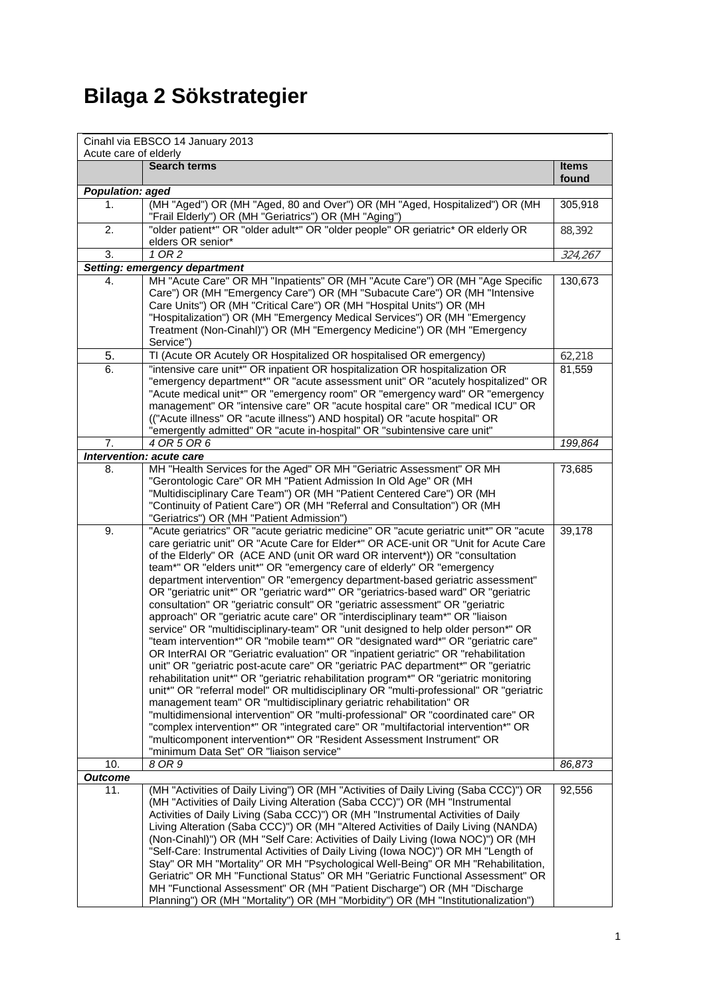## **Bilaga 2 Sökstrategier**

| Cinahl via EBSCO 14 January 2013<br>Acute care of elderly |                                                                                                                                                                                                                                                                                                                                                                                                                                                                                                                                                                                                                                                                                                                                                                                                                                                                                                                                                                                                                                                                                                                                                                                                                                                                                                                                                                                                                                                                                           |                  |
|-----------------------------------------------------------|-------------------------------------------------------------------------------------------------------------------------------------------------------------------------------------------------------------------------------------------------------------------------------------------------------------------------------------------------------------------------------------------------------------------------------------------------------------------------------------------------------------------------------------------------------------------------------------------------------------------------------------------------------------------------------------------------------------------------------------------------------------------------------------------------------------------------------------------------------------------------------------------------------------------------------------------------------------------------------------------------------------------------------------------------------------------------------------------------------------------------------------------------------------------------------------------------------------------------------------------------------------------------------------------------------------------------------------------------------------------------------------------------------------------------------------------------------------------------------------------|------------------|
|                                                           | <b>Search terms</b>                                                                                                                                                                                                                                                                                                                                                                                                                                                                                                                                                                                                                                                                                                                                                                                                                                                                                                                                                                                                                                                                                                                                                                                                                                                                                                                                                                                                                                                                       | <b>Items</b>     |
|                                                           |                                                                                                                                                                                                                                                                                                                                                                                                                                                                                                                                                                                                                                                                                                                                                                                                                                                                                                                                                                                                                                                                                                                                                                                                                                                                                                                                                                                                                                                                                           | found            |
| Population: aged                                          |                                                                                                                                                                                                                                                                                                                                                                                                                                                                                                                                                                                                                                                                                                                                                                                                                                                                                                                                                                                                                                                                                                                                                                                                                                                                                                                                                                                                                                                                                           |                  |
| 1.                                                        | (MH "Aged") OR (MH "Aged, 80 and Over") OR (MH "Aged, Hospitalized") OR (MH<br>"Frail Elderly") OR (MH "Geriatrics") OR (MH "Aging")                                                                                                                                                                                                                                                                                                                                                                                                                                                                                                                                                                                                                                                                                                                                                                                                                                                                                                                                                                                                                                                                                                                                                                                                                                                                                                                                                      | 305,918          |
| 2.                                                        | "older patient*" OR "older adult*" OR "older people" OR geriatric* OR elderly OR<br>elders OR senior*                                                                                                                                                                                                                                                                                                                                                                                                                                                                                                                                                                                                                                                                                                                                                                                                                                                                                                                                                                                                                                                                                                                                                                                                                                                                                                                                                                                     | 88,392           |
| 3.                                                        | 10R2                                                                                                                                                                                                                                                                                                                                                                                                                                                                                                                                                                                                                                                                                                                                                                                                                                                                                                                                                                                                                                                                                                                                                                                                                                                                                                                                                                                                                                                                                      | 324,267          |
|                                                           | Setting: emergency department                                                                                                                                                                                                                                                                                                                                                                                                                                                                                                                                                                                                                                                                                                                                                                                                                                                                                                                                                                                                                                                                                                                                                                                                                                                                                                                                                                                                                                                             |                  |
| 4.                                                        | MH "Acute Care" OR MH "Inpatients" OR (MH "Acute Care") OR (MH "Age Specific<br>Care") OR (MH "Emergency Care") OR (MH "Subacute Care") OR (MH "Intensive<br>Care Units") OR (MH "Critical Care") OR (MH "Hospital Units") OR (MH<br>"Hospitalization") OR (MH "Emergency Medical Services") OR (MH "Emergency<br>Treatment (Non-Cinahl)") OR (MH "Emergency Medicine") OR (MH "Emergency<br>Service")                                                                                                                                                                                                                                                                                                                                                                                                                                                                                                                                                                                                                                                                                                                                                                                                                                                                                                                                                                                                                                                                                    | 130,673          |
| 5.                                                        | TI (Acute OR Acutely OR Hospitalized OR hospitalised OR emergency)                                                                                                                                                                                                                                                                                                                                                                                                                                                                                                                                                                                                                                                                                                                                                                                                                                                                                                                                                                                                                                                                                                                                                                                                                                                                                                                                                                                                                        | 62,218           |
| 6.                                                        | "intensive care unit*" OR inpatient OR hospitalization OR hospitalization OR<br>"emergency department*" OR "acute assessment unit" OR "acutely hospitalized" OR<br>"Acute medical unit*" OR "emergency room" OR "emergency ward" OR "emergency<br>management" OR "intensive care" OR "acute hospital care" OR "medical ICU" OR<br>(("Acute illness" OR "acute illness") AND hospital) OR "acute hospital" OR<br>"emergently admitted" OR "acute in-hospital" OR "subintensive care unit"                                                                                                                                                                                                                                                                                                                                                                                                                                                                                                                                                                                                                                                                                                                                                                                                                                                                                                                                                                                                  | 81,559           |
| 7.                                                        | 4 OR 5 OR 6                                                                                                                                                                                                                                                                                                                                                                                                                                                                                                                                                                                                                                                                                                                                                                                                                                                                                                                                                                                                                                                                                                                                                                                                                                                                                                                                                                                                                                                                               | 199,864          |
|                                                           | Intervention: acute care                                                                                                                                                                                                                                                                                                                                                                                                                                                                                                                                                                                                                                                                                                                                                                                                                                                                                                                                                                                                                                                                                                                                                                                                                                                                                                                                                                                                                                                                  |                  |
| 8.<br>9.                                                  | MH "Health Services for the Aged" OR MH "Geriatric Assessment" OR MH<br>"Gerontologic Care" OR MH "Patient Admission In Old Age" OR (MH<br>"Multidisciplinary Care Team") OR (MH "Patient Centered Care") OR (MH<br>"Continuity of Patient Care") OR (MH "Referral and Consultation") OR (MH<br>"Geriatrics") OR (MH "Patient Admission")<br>"Acute geriatrics" OR "acute geriatric medicine" OR "acute geriatric unit*" OR "acute                                                                                                                                                                                                                                                                                                                                                                                                                                                                                                                                                                                                                                                                                                                                                                                                                                                                                                                                                                                                                                                        | 73,685<br>39,178 |
|                                                           | care geriatric unit" OR "Acute Care for Elder*" OR ACE-unit OR "Unit for Acute Care<br>of the Elderly" OR (ACE AND (unit OR ward OR intervent*)) OR "consultation<br>team*" OR "elders unit*" OR "emergency care of elderly" OR "emergency<br>department intervention" OR "emergency department-based geriatric assessment"<br>OR "geriatric unit*" OR "geriatric ward*" OR "geriatrics-based ward" OR "geriatric<br>consultation" OR "geriatric consult" OR "geriatric assessment" OR "geriatric<br>approach" OR "geriatric acute care" OR "interdisciplinary team*" OR "liaison<br>service" OR "multidisciplinary-team" OR "unit designed to help older person*" OR<br>"team intervention*" OR "mobile team*" OR "designated ward*" OR "geriatric care"<br>OR InterRAI OR "Geriatric evaluation" OR "inpatient geriatric" OR "rehabilitation<br>unit" OR "geriatric post-acute care" OR "geriatric PAC department*" OR "geriatric<br>rehabilitation unit*" OR "geriatric rehabilitation program*" OR "geriatric monitoring<br>unit*" OR "referral model" OR multidisciplinary OR "multi-professional" OR "geriatric<br>management team" OR "multidisciplinary geriatric rehabilitation" OR<br>"multidimensional intervention" OR "multi-professional" OR "coordinated care" OR<br>"complex intervention*" OR "integrated care" OR "multifactorial intervention*" OR<br>"multicomponent intervention*" OR "Resident Assessment Instrument" OR<br>"minimum Data Set" OR "liaison service" |                  |
| 10.                                                       | 8 OR 9                                                                                                                                                                                                                                                                                                                                                                                                                                                                                                                                                                                                                                                                                                                                                                                                                                                                                                                                                                                                                                                                                                                                                                                                                                                                                                                                                                                                                                                                                    | 86,873           |
| <b>Outcome</b>                                            |                                                                                                                                                                                                                                                                                                                                                                                                                                                                                                                                                                                                                                                                                                                                                                                                                                                                                                                                                                                                                                                                                                                                                                                                                                                                                                                                                                                                                                                                                           |                  |
| 11.                                                       | (MH "Activities of Daily Living") OR (MH "Activities of Daily Living (Saba CCC)") OR<br>(MH "Activities of Daily Living Alteration (Saba CCC)") OR (MH "Instrumental<br>Activities of Daily Living (Saba CCC)") OR (MH "Instrumental Activities of Daily<br>Living Alteration (Saba CCC)") OR (MH "Altered Activities of Daily Living (NANDA)<br>(Non-Cinahl)") OR (MH "Self Care: Activities of Daily Living (lowa NOC)") OR (MH<br>"Self-Care: Instrumental Activities of Daily Living (lowa NOC)") OR MH "Length of<br>Stay" OR MH "Mortality" OR MH "Psychological Well-Being" OR MH "Rehabilitation,<br>Geriatric" OR MH "Functional Status" OR MH "Geriatric Functional Assessment" OR<br>MH "Functional Assessment" OR (MH "Patient Discharge") OR (MH "Discharge<br>Planning") OR (MH "Mortality") OR (MH "Morbidity") OR (MH "Institutionalization")                                                                                                                                                                                                                                                                                                                                                                                                                                                                                                                                                                                                                             | 92,556           |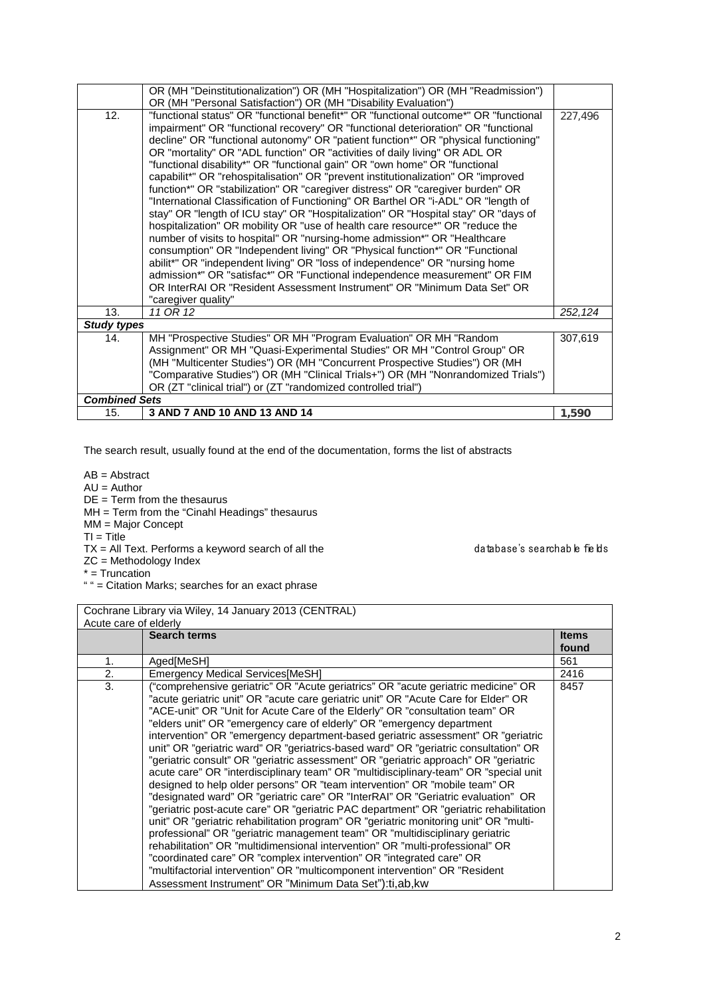| OR (MH "Deinstitutionalization") OR (MH "Hospitalization") OR (MH "Readmission")            |         |  |
|---------------------------------------------------------------------------------------------|---------|--|
| OR (MH "Personal Satisfaction") OR (MH "Disability Evaluation")                             |         |  |
| 12.<br>"functional status" OR "functional benefit*" OR "functional outcome*" OR "functional | 227,496 |  |
| impairment" OR "functional recovery" OR "functional deterioration" OR "functional           |         |  |
| decline" OR "functional autonomy" OR "patient function*" OR "physical functioning"          |         |  |
| OR "mortality" OR "ADL function" OR "activities of daily living" OR ADL OR                  |         |  |
| "functional disability*" OR "functional gain" OR "own home" OR "functional                  |         |  |
| capabilit*" OR "rehospitalisation" OR "prevent institutionalization" OR "improved           |         |  |
| function*" OR "stabilization" OR "caregiver distress" OR "caregiver burden" OR              |         |  |
| "International Classification of Functioning" OR Barthel OR "i-ADL" OR "length of           |         |  |
| stay" OR "length of ICU stay" OR "Hospitalization" OR "Hospital stay" OR "days of           |         |  |
| hospitalization" OR mobility OR "use of health care resource*" OR "reduce the               |         |  |
| number of visits to hospital" OR "nursing-home admission*" OR "Healthcare                   |         |  |
| consumption" OR "Independent living" OR "Physical function*" OR "Functional                 |         |  |
| abilit*" OR "independent living" OR "loss of independence" OR "nursing home                 |         |  |
| admission*" OR "satisfac*" OR "Functional independence measurement" OR FIM                  |         |  |
| OR InterRAI OR "Resident Assessment Instrument" OR "Minimum Data Set" OR                    |         |  |
| "caregiver quality"                                                                         |         |  |
| 13.<br>11 OR 12                                                                             | 252,124 |  |
| <b>Study types</b>                                                                          |         |  |
| MH "Prospective Studies" OR MH "Program Evaluation" OR MH "Random<br>14.                    | 307,619 |  |
| Assignment" OR MH "Quasi-Experimental Studies" OR MH "Control Group" OR                     |         |  |
| (MH "Multicenter Studies") OR (MH "Concurrent Prospective Studies") OR (MH                  |         |  |
| "Comparative Studies") OR (MH "Clinical Trials+") OR (MH "Nonrandomized Trials")            |         |  |
| OR (ZT "clinical trial") or (ZT "randomized controlled trial")                              |         |  |
| <b>Combined Sets</b>                                                                        |         |  |
| 3 AND 7 AND 10 AND 13 AND 14<br>15.                                                         | 1,590   |  |

AB = Abstract

 $AU =$  Author

 $DE = Term$  from the thesaurus

MH = Term from the "Cinahl Headings" thesaurus

MM = Major Concept

 $TI = Title$ 

 $TX = All Text.$  Performs a keyword search of all the database's searchable fields

ZC = Methodology Index

 $* =$  Truncation

" " = Citation Marks; searches for an exact phrase

Cochrane Library via Wiley, 14 January 2013 (CENTRAL) Acute care of elderly **Search terms Items Items Items found** 1. Aged[MeSH] 561 2. Emergency Medical Services[MeSH] 2416 3. ("comprehensive geriatric" OR "Acute geriatrics" OR "acute geriatric medicine" OR "acute geriatric unit" OR "acute care geriatric unit" OR "Acute Care for Elder" OR "ACE-unit" OR "Unit for Acute Care of the Elderly" OR "consultation team" OR "elders unit" OR "emergency care of elderly" OR "emergency department intervention" OR "emergency department-based geriatric assessment" OR "geriatric unit" OR "geriatric ward" OR "geriatrics-based ward" OR "geriatric consultation" OR "geriatric consult" OR "geriatric assessment" OR "geriatric approach" OR "geriatric acute care" OR "interdisciplinary team" OR "multidisciplinary-team" OR "special unit designed to help older persons" OR "team intervention" OR "mobile team" OR "designated ward" OR "geriatric care" OR "InterRAI" OR "Geriatric evaluation" OR "geriatric post-acute care" OR "geriatric PAC department" OR "geriatric rehabilitation unit" OR "geriatric rehabilitation program" OR "geriatric monitoring unit" OR "multiprofessional" OR "geriatric management team" OR "multidisciplinary geriatric rehabilitation" OR "multidimensional intervention" OR "multi-professional" OR "coordinated care" OR "complex intervention" OR "integrated care" OR "multifactorial intervention" OR "multicomponent intervention" OR "Resident Assessment Instrument" OR "Minimum Data Set"):ti,ab,kw 8457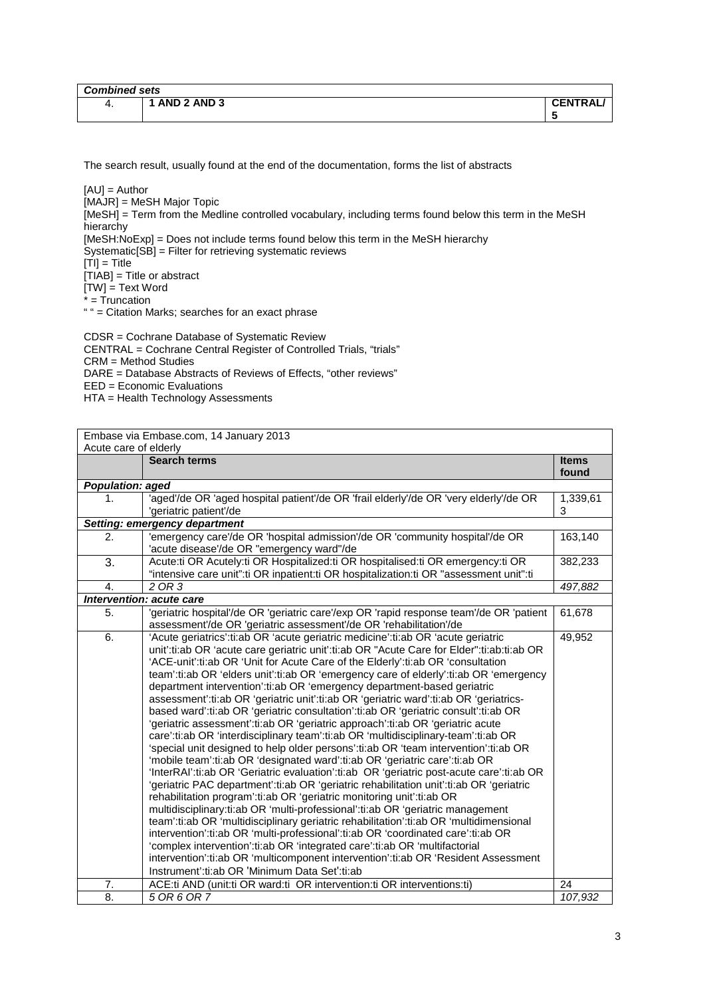| <b>Combined sets</b> |             |                |  |
|----------------------|-------------|----------------|--|
| 4.                   | AND 2 AND 3 | <b>CENTRAL</b> |  |
|                      |             | .              |  |

[AU] = Author [MAJR] = MeSH Major Topic [MeSH] = Term from the Medline controlled vocabulary, including terms found below this term in the MeSH hierarchy [MeSH:NoExp] = Does not include terms found below this term in the MeSH hierarchy Systematic[SB] = Filter for retrieving systematic reviews  $[T<sub>II</sub>] = T$ itle  $[TIAB] = Title or abstract$ [TW] = Text Word  $=$  Truncation " " = Citation Marks; searches for an exact phrase

CDSR = Cochrane Database of Systematic Review CENTRAL = Cochrane Central Register of Controlled Trials, "trials" CRM = Method Studies DARE = Database Abstracts of Reviews of Effects, "other reviews" EED = Economic Evaluations HTA = Health Technology Assessments

| Embase via Embase.com, 14 January 2013 |                                                                                                                                                                                                                                                                                                                                                                                                                                                                                                                                                                                                                                                                                                                                                                                                                                                                                                                                                                                                                                                                                                                                                                                                                                                                                                                                                                                                                                                                                                                                                                                                                                                                                                                         |                       |
|----------------------------------------|-------------------------------------------------------------------------------------------------------------------------------------------------------------------------------------------------------------------------------------------------------------------------------------------------------------------------------------------------------------------------------------------------------------------------------------------------------------------------------------------------------------------------------------------------------------------------------------------------------------------------------------------------------------------------------------------------------------------------------------------------------------------------------------------------------------------------------------------------------------------------------------------------------------------------------------------------------------------------------------------------------------------------------------------------------------------------------------------------------------------------------------------------------------------------------------------------------------------------------------------------------------------------------------------------------------------------------------------------------------------------------------------------------------------------------------------------------------------------------------------------------------------------------------------------------------------------------------------------------------------------------------------------------------------------------------------------------------------------|-----------------------|
| Acute care of elderly                  |                                                                                                                                                                                                                                                                                                                                                                                                                                                                                                                                                                                                                                                                                                                                                                                                                                                                                                                                                                                                                                                                                                                                                                                                                                                                                                                                                                                                                                                                                                                                                                                                                                                                                                                         |                       |
|                                        | <b>Search terms</b>                                                                                                                                                                                                                                                                                                                                                                                                                                                                                                                                                                                                                                                                                                                                                                                                                                                                                                                                                                                                                                                                                                                                                                                                                                                                                                                                                                                                                                                                                                                                                                                                                                                                                                     | <b>Items</b><br>found |
| <b>Population: aged</b>                |                                                                                                                                                                                                                                                                                                                                                                                                                                                                                                                                                                                                                                                                                                                                                                                                                                                                                                                                                                                                                                                                                                                                                                                                                                                                                                                                                                                                                                                                                                                                                                                                                                                                                                                         |                       |
| 1.                                     | 'aged'/de OR 'aged hospital patient'/de OR 'frail elderly'/de OR 'very elderly'/de OR<br>'geriatric patient'/de                                                                                                                                                                                                                                                                                                                                                                                                                                                                                                                                                                                                                                                                                                                                                                                                                                                                                                                                                                                                                                                                                                                                                                                                                                                                                                                                                                                                                                                                                                                                                                                                         | 1,339,61<br>3         |
|                                        | Setting: emergency department                                                                                                                                                                                                                                                                                                                                                                                                                                                                                                                                                                                                                                                                                                                                                                                                                                                                                                                                                                                                                                                                                                                                                                                                                                                                                                                                                                                                                                                                                                                                                                                                                                                                                           |                       |
| 2.                                     | 'emergency care'/de OR 'hospital admission'/de OR 'community hospital'/de OR<br>'acute disease'/de OR "emergency ward"/de                                                                                                                                                                                                                                                                                                                                                                                                                                                                                                                                                                                                                                                                                                                                                                                                                                                                                                                                                                                                                                                                                                                                                                                                                                                                                                                                                                                                                                                                                                                                                                                               | 163,140               |
| 3.                                     | Acute:ti OR Acutely:ti OR Hospitalized:ti OR hospitalised:ti OR emergency:ti OR<br>"intensive care unit":ti OR inpatient:ti OR hospitalization:ti OR "assessment unit":ti                                                                                                                                                                                                                                                                                                                                                                                                                                                                                                                                                                                                                                                                                                                                                                                                                                                                                                                                                                                                                                                                                                                                                                                                                                                                                                                                                                                                                                                                                                                                               | 382,233               |
| 4.                                     | 2 OR 3                                                                                                                                                                                                                                                                                                                                                                                                                                                                                                                                                                                                                                                                                                                                                                                                                                                                                                                                                                                                                                                                                                                                                                                                                                                                                                                                                                                                                                                                                                                                                                                                                                                                                                                  | 497,882               |
|                                        | Intervention: acute care                                                                                                                                                                                                                                                                                                                                                                                                                                                                                                                                                                                                                                                                                                                                                                                                                                                                                                                                                                                                                                                                                                                                                                                                                                                                                                                                                                                                                                                                                                                                                                                                                                                                                                |                       |
| 5.                                     | 'geriatric hospital'/de OR 'geriatric care'/exp OR 'rapid response team'/de OR 'patient<br>assessment'/de OR 'geriatric assessment'/de OR 'rehabilitation'/de                                                                                                                                                                                                                                                                                                                                                                                                                                                                                                                                                                                                                                                                                                                                                                                                                                                                                                                                                                                                                                                                                                                                                                                                                                                                                                                                                                                                                                                                                                                                                           | 61,678                |
| 6.                                     | 'Acute geriatrics':ti:ab OR 'acute geriatric medicine':ti:ab OR 'acute geriatric<br>unit':ti:ab OR 'acute care geriatric unit':ti:ab OR "Acute Care for Elder":ti:ab:ti:ab OR<br>'ACE-unit':ti:ab OR 'Unit for Acute Care of the Elderly':ti:ab OR 'consultation<br>team':ti:ab OR 'elders unit':ti:ab OR 'emergency care of elderly':ti:ab OR 'emergency<br>department intervention':ti:ab OR 'emergency department-based geriatric<br>assessment':ti:ab OR 'geriatric unit':ti:ab OR 'geriatric ward':ti:ab OR 'geriatrics-<br>based ward':ti:ab OR 'geriatric consultation':ti:ab OR 'geriatric consult':ti:ab OR<br>'geriatric assessment':ti:ab OR 'geriatric approach':ti:ab OR 'geriatric acute<br>care':ti:ab OR 'interdisciplinary team':ti:ab OR 'multidisciplinary-team':ti:ab OR<br>'special unit designed to help older persons':ti:ab OR 'team intervention':ti:ab OR<br>'mobile team':ti:ab OR 'designated ward':ti:ab OR 'geriatric care':ti:ab OR<br>'InterRAI':ti:ab OR 'Geriatric evaluation':ti:ab OR 'geriatric post-acute care':ti:ab OR<br>'geriatric PAC department':ti:ab OR 'geriatric rehabilitation unit':ti:ab OR 'geriatric<br>rehabilitation program':ti:ab OR 'geriatric monitoring unit':ti:ab OR<br>multidisciplinary:ti:ab OR 'multi-professional':ti:ab OR 'geriatric management<br>team':ti:ab OR 'multidisciplinary geriatric rehabilitation':ti:ab OR 'multidimensional<br>intervention':ti:ab OR 'multi-professional':ti:ab OR 'coordinated care':ti:ab OR<br>'complex intervention':ti:ab OR 'integrated care':ti:ab OR 'multifactorial<br>intervention':ti:ab OR 'multicomponent intervention':ti:ab OR 'Resident Assessment<br>Instrument':ti:ab OR 'Minimum Data Set':ti:ab | 49,952                |
| 7.                                     | ACE:ti AND (unit:ti OR ward:ti OR intervention:ti OR interventions:ti)                                                                                                                                                                                                                                                                                                                                                                                                                                                                                                                                                                                                                                                                                                                                                                                                                                                                                                                                                                                                                                                                                                                                                                                                                                                                                                                                                                                                                                                                                                                                                                                                                                                  | 24                    |
| 8.                                     | 5 OR 6 OR 7                                                                                                                                                                                                                                                                                                                                                                                                                                                                                                                                                                                                                                                                                                                                                                                                                                                                                                                                                                                                                                                                                                                                                                                                                                                                                                                                                                                                                                                                                                                                                                                                                                                                                                             | 107,932               |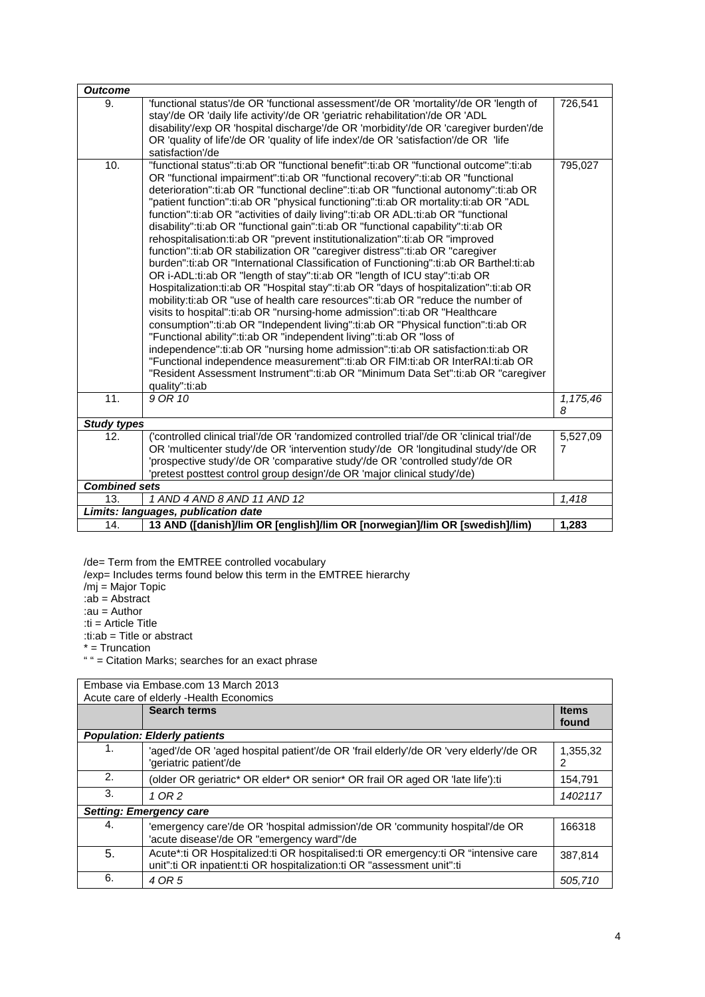| <b>Outcome</b>       |                                                                                                                                                                                                                                                                                                                                                                                                                                                                                                                                                                                                                                                                                                                                                                                                                                                                                                                                                                                                                                                                                                                                                                                                                                                                                                                                                                                                                                                                                                                                                                     |                            |
|----------------------|---------------------------------------------------------------------------------------------------------------------------------------------------------------------------------------------------------------------------------------------------------------------------------------------------------------------------------------------------------------------------------------------------------------------------------------------------------------------------------------------------------------------------------------------------------------------------------------------------------------------------------------------------------------------------------------------------------------------------------------------------------------------------------------------------------------------------------------------------------------------------------------------------------------------------------------------------------------------------------------------------------------------------------------------------------------------------------------------------------------------------------------------------------------------------------------------------------------------------------------------------------------------------------------------------------------------------------------------------------------------------------------------------------------------------------------------------------------------------------------------------------------------------------------------------------------------|----------------------------|
| 9.                   | 'functional status'/de OR 'functional assessment'/de OR 'mortality'/de OR 'length of<br>stay'/de OR 'daily life activity'/de OR 'geriatric rehabilitation'/de OR 'ADL<br>disability'/exp OR 'hospital discharge'/de OR 'morbidity'/de OR 'caregiver burden'/de<br>OR 'quality of life'/de OR 'quality of life index'/de OR 'satisfaction'/de OR 'life<br>satisfaction'/de                                                                                                                                                                                                                                                                                                                                                                                                                                                                                                                                                                                                                                                                                                                                                                                                                                                                                                                                                                                                                                                                                                                                                                                           | 726,541                    |
| 10.                  | "functional status":ti:ab OR "functional benefit":ti:ab OR "functional outcome":ti:ab<br>OR "functional impairment":ti:ab OR "functional recovery":ti:ab OR "functional<br>deterioration":ti:ab OR "functional decline":ti:ab OR "functional autonomy":ti:ab OR<br>"patient function":ti:ab OR "physical functioning":ti:ab OR mortality:ti:ab OR "ADL<br>function":ti:ab OR "activities of daily living":ti:ab OR ADL:ti:ab OR "functional<br>disability":ti:ab OR "functional gain":ti:ab OR "functional capability":ti:ab OR<br>rehospitalisation:ti:ab OR "prevent institutionalization":ti:ab OR "improved<br>function":ti:ab OR stabilization OR "caregiver distress":ti:ab OR "caregiver<br>burden":ti:ab OR "International Classification of Functioning":ti:ab OR Barthel:ti:ab<br>OR i-ADL:ti:ab OR "length of stay":ti:ab OR "length of ICU stay":ti:ab OR<br>Hospitalization:ti:ab OR "Hospital stay":ti:ab OR "days of hospitalization":ti:ab OR<br>mobility:ti:ab OR "use of health care resources":ti:ab OR "reduce the number of<br>visits to hospital":ti:ab OR "nursing-home admission":ti:ab OR "Healthcare<br>consumption":ti:ab OR "Independent living":ti:ab OR "Physical function":ti:ab OR<br>"Functional ability":ti:ab OR "independent living":ti:ab OR "loss of<br>independence":ti:ab OR "nursing home admission":ti:ab OR satisfaction:ti:ab OR<br>"Functional independence measurement":ti:ab OR FIM:ti:ab OR InterRAI:ti:ab OR<br>"Resident Assessment Instrument":ti:ab OR "Minimum Data Set":ti:ab OR "caregiver<br>quality":ti:ab | 795,027                    |
| 11.                  | 9 OR 10                                                                                                                                                                                                                                                                                                                                                                                                                                                                                                                                                                                                                                                                                                                                                                                                                                                                                                                                                                                                                                                                                                                                                                                                                                                                                                                                                                                                                                                                                                                                                             | 1,175,46<br>8              |
| <b>Study types</b>   |                                                                                                                                                                                                                                                                                                                                                                                                                                                                                                                                                                                                                                                                                                                                                                                                                                                                                                                                                                                                                                                                                                                                                                                                                                                                                                                                                                                                                                                                                                                                                                     |                            |
| 12.                  | ('controlled clinical trial'/de OR 'randomized controlled trial'/de OR 'clinical trial'/de<br>OR 'multicenter study'/de OR 'intervention study'/de OR 'longitudinal study'/de OR<br>'prospective study'/de OR 'comparative study'/de OR 'controlled study'/de OR<br>'pretest posttest control group design'/de OR 'major clinical study'/de)                                                                                                                                                                                                                                                                                                                                                                                                                                                                                                                                                                                                                                                                                                                                                                                                                                                                                                                                                                                                                                                                                                                                                                                                                        | 5,527,09<br>$\overline{7}$ |
| <b>Combined sets</b> |                                                                                                                                                                                                                                                                                                                                                                                                                                                                                                                                                                                                                                                                                                                                                                                                                                                                                                                                                                                                                                                                                                                                                                                                                                                                                                                                                                                                                                                                                                                                                                     |                            |
| 13.                  | 1 AND 4 AND 8 AND 11 AND 12                                                                                                                                                                                                                                                                                                                                                                                                                                                                                                                                                                                                                                                                                                                                                                                                                                                                                                                                                                                                                                                                                                                                                                                                                                                                                                                                                                                                                                                                                                                                         | 1,418                      |
|                      | Limits: languages, publication date                                                                                                                                                                                                                                                                                                                                                                                                                                                                                                                                                                                                                                                                                                                                                                                                                                                                                                                                                                                                                                                                                                                                                                                                                                                                                                                                                                                                                                                                                                                                 |                            |
| 14.                  | 13 AND ([danish]/lim OR [english]/lim OR [norwegian]/lim OR [swedish]/lim)                                                                                                                                                                                                                                                                                                                                                                                                                                                                                                                                                                                                                                                                                                                                                                                                                                                                                                                                                                                                                                                                                                                                                                                                                                                                                                                                                                                                                                                                                          | 1,283                      |

/de= Term from the EMTREE controlled vocabulary

/exp= Includes terms found below this term in the EMTREE hierarchy

/mj = Major Topic

:ab = Abstract

:au = Author

:ti = Article Title

:ti:ab = Title or abstract

\* = Truncation

" " = Citation Marks; searches for an exact phrase

| Embase via Embase.com 13 March 2013 |                                                                                       |              |
|-------------------------------------|---------------------------------------------------------------------------------------|--------------|
|                                     | Acute care of elderly -Health Economics                                               |              |
|                                     | <b>Search terms</b>                                                                   | <b>Items</b> |
|                                     |                                                                                       | found        |
|                                     |                                                                                       |              |
|                                     | <b>Population: Elderly patients</b>                                                   |              |
| 1.                                  | 'aged'/de OR 'aged hospital patient'/de OR 'frail elderly'/de OR 'very elderly'/de OR | 1,355,32     |
|                                     | 'geriatric patient'/de                                                                | 2            |
|                                     |                                                                                       |              |
| 2.                                  | (older OR geriatric* OR elder* OR senior* OR frail OR aged OR 'late life'):ti         | 154,791      |
| 3.                                  | 1 OR 2                                                                                | 1402117      |
|                                     |                                                                                       |              |
|                                     | <b>Setting: Emergency care</b>                                                        |              |
| 4.                                  | 'emergency care'/de OR 'hospital admission'/de OR 'community hospital'/de OR          | 166318       |
|                                     | 'acute disease'/de OR "emergency ward"/de                                             |              |
|                                     |                                                                                       |              |
| 5.                                  | Acute*:ti OR Hospitalized:ti OR hospitalised:ti OR emergency:ti OR "intensive care    | 387.814      |
|                                     | unit":ti OR inpatient:ti OR hospitalization:ti OR "assessment unit":ti                |              |
| 6.                                  | 4 OR 5                                                                                | 505,710      |
|                                     |                                                                                       |              |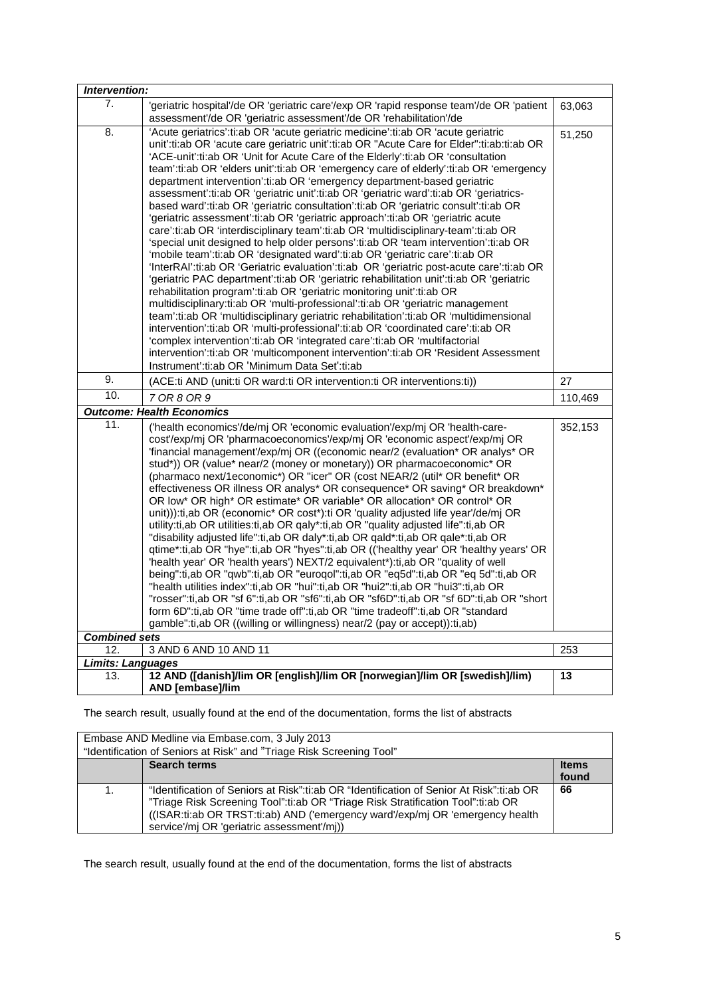| Intervention:                                                                                                                                                                                                                                                                                                                                                                                                                                                                                                                                                                                                                                                                                                                                                                                                                                                                                                                                                                                                                                                                                                                                                                                                                                                                                                                                                                                                                                                                                                                                                                                                                                                                                                                 |         |
|-------------------------------------------------------------------------------------------------------------------------------------------------------------------------------------------------------------------------------------------------------------------------------------------------------------------------------------------------------------------------------------------------------------------------------------------------------------------------------------------------------------------------------------------------------------------------------------------------------------------------------------------------------------------------------------------------------------------------------------------------------------------------------------------------------------------------------------------------------------------------------------------------------------------------------------------------------------------------------------------------------------------------------------------------------------------------------------------------------------------------------------------------------------------------------------------------------------------------------------------------------------------------------------------------------------------------------------------------------------------------------------------------------------------------------------------------------------------------------------------------------------------------------------------------------------------------------------------------------------------------------------------------------------------------------------------------------------------------------|---------|
| 7.<br>'geriatric hospital'/de OR 'geriatric care'/exp OR 'rapid response team'/de OR 'patient<br>assessment'/de OR 'geriatric assessment'/de OR 'rehabilitation'/de                                                                                                                                                                                                                                                                                                                                                                                                                                                                                                                                                                                                                                                                                                                                                                                                                                                                                                                                                                                                                                                                                                                                                                                                                                                                                                                                                                                                                                                                                                                                                           | 63,063  |
| 8.<br>'Acute geriatrics':ti:ab OR 'acute geriatric medicine':ti:ab OR 'acute geriatric<br>unit':ti:ab OR 'acute care geriatric unit':ti:ab OR "Acute Care for Elder":ti:ab:ti:ab OR<br>'ACE-unit':ti:ab OR 'Unit for Acute Care of the Elderly':ti:ab OR 'consultation<br>team':ti:ab OR 'elders unit':ti:ab OR 'emergency care of elderly':ti:ab OR 'emergency<br>department intervention':ti:ab OR 'emergency department-based geriatric<br>assessment':ti:ab OR 'geriatric unit':ti:ab OR 'geriatric ward':ti:ab OR 'geriatrics-<br>based ward':ti:ab OR 'qeriatric consultation':ti:ab OR 'qeriatric consult':ti:ab OR<br>'geriatric assessment':ti:ab OR 'geriatric approach':ti:ab OR 'geriatric acute<br>care':ti:ab OR 'interdisciplinary team':ti:ab OR 'multidisciplinary-team':ti:ab OR<br>'special unit designed to help older persons':ti:ab OR 'team intervention':ti:ab OR<br>'mobile team':ti:ab OR 'designated ward':ti:ab OR 'geriatric care':ti:ab OR<br>'InterRAI':ti:ab OR 'Geriatric evaluation':ti:ab OR 'geriatric post-acute care':ti:ab OR<br>'geriatric PAC department':ti:ab OR 'geriatric rehabilitation unit':ti:ab OR 'geriatric<br>rehabilitation program':ti:ab OR 'geriatric monitoring unit':ti:ab OR<br>multidisciplinary:ti:ab OR 'multi-professional':ti:ab OR 'geriatric management<br>team':ti:ab OR 'multidisciplinary geriatric rehabilitation':ti:ab OR 'multidimensional<br>intervention':ti:ab OR 'multi-professional':ti:ab OR 'coordinated care':ti:ab OR<br>'complex intervention':ti:ab OR 'integrated care':ti:ab OR 'multifactorial<br>intervention':ti:ab OR 'multicomponent intervention':ti:ab OR 'Resident Assessment<br>Instrument':ti:ab OR 'Minimum Data Set':ti:ab | 51,250  |
| 9.<br>(ACE:ti AND (unit:ti OR ward:ti OR intervention:ti OR interventions:ti))                                                                                                                                                                                                                                                                                                                                                                                                                                                                                                                                                                                                                                                                                                                                                                                                                                                                                                                                                                                                                                                                                                                                                                                                                                                                                                                                                                                                                                                                                                                                                                                                                                                | 27      |
| 10.<br>7 OR 8 OR 9                                                                                                                                                                                                                                                                                                                                                                                                                                                                                                                                                                                                                                                                                                                                                                                                                                                                                                                                                                                                                                                                                                                                                                                                                                                                                                                                                                                                                                                                                                                                                                                                                                                                                                            | 110,469 |
| <b>Outcome: Health Economics</b>                                                                                                                                                                                                                                                                                                                                                                                                                                                                                                                                                                                                                                                                                                                                                                                                                                                                                                                                                                                                                                                                                                                                                                                                                                                                                                                                                                                                                                                                                                                                                                                                                                                                                              |         |
| 11.<br>('health economics'/de/mj OR 'economic evaluation'/exp/mj OR 'health-care-<br>cost'/exp/mj OR 'pharmacoeconomics'/exp/mj OR 'economic aspect'/exp/mj OR<br>'financial management'/exp/mj OR ((economic near/2 (evaluation* OR analys* OR<br>stud*)) OR (value* near/2 (money or monetary)) OR pharmacoeconomic* OR<br>(pharmaco next/1economic*) OR "icer" OR (cost NEAR/2 (util* OR benefit* OR<br>effectiveness OR illness OR analys* OR consequence* OR saving* OR breakdown*<br>OR low* OR high* OR estimate* OR variable* OR allocation* OR control* OR<br>unit))): ti, ab OR (economic* OR cost*): ti OR 'quality adjusted life year'/de/mj OR<br>utility:ti,ab OR utilities:ti,ab OR qaly*:ti,ab OR "quality adjusted life":ti,ab OR<br>"disability adjusted life":ti,ab OR daly*:ti,ab OR qald*:ti,ab OR qale*:ti,ab OR<br>qtime*:ti,ab OR "hye":ti,ab OR "hyes":ti,ab OR (('healthy year' OR 'healthy years' OR<br>'health year' OR 'health years') NEXT/2 equivalent*):ti,ab OR "quality of well<br>being":ti,ab OR "qwb":ti,ab OR "euroqol":ti,ab OR "eq5d":ti,ab OR "eq 5d":ti,ab OR<br>"health utilities index":ti,ab OR "hui":ti,ab OR "hui2":ti,ab OR "hui3":ti,ab OR<br>"rosser":ti,ab OR "sf 6":ti,ab OR "sf6":ti,ab OR "sf6D":ti,ab OR "sf 6D":ti,ab OR "short<br>form 6D":ti,ab OR "time trade off":ti,ab OR "time tradeoff":ti,ab OR "standard<br>gamble":ti,ab OR ((willing or willingness) near/2 (pay or accept)):ti,ab)                                                                                                                                                                                                                                                                        | 352,153 |
| <b>Combined sets</b><br>3 AND 6 AND 10 AND 11<br>12.                                                                                                                                                                                                                                                                                                                                                                                                                                                                                                                                                                                                                                                                                                                                                                                                                                                                                                                                                                                                                                                                                                                                                                                                                                                                                                                                                                                                                                                                                                                                                                                                                                                                          | 253     |
| <b>Limits: Languages</b>                                                                                                                                                                                                                                                                                                                                                                                                                                                                                                                                                                                                                                                                                                                                                                                                                                                                                                                                                                                                                                                                                                                                                                                                                                                                                                                                                                                                                                                                                                                                                                                                                                                                                                      |         |
| 12 AND ([danish]/lim OR [english]/lim OR [norwegian]/lim OR [swedish]/lim)<br>13.<br>AND [embase]/lim                                                                                                                                                                                                                                                                                                                                                                                                                                                                                                                                                                                                                                                                                                                                                                                                                                                                                                                                                                                                                                                                                                                                                                                                                                                                                                                                                                                                                                                                                                                                                                                                                         | 13      |

| Embase AND Medline via Embase.com, 3 July 2013<br>"Identification of Seniors at Risk" and "Triage Risk Screening Tool" |                                                                                                                                                                                                                                                                                                             |                       |
|------------------------------------------------------------------------------------------------------------------------|-------------------------------------------------------------------------------------------------------------------------------------------------------------------------------------------------------------------------------------------------------------------------------------------------------------|-----------------------|
|                                                                                                                        | <b>Search terms</b>                                                                                                                                                                                                                                                                                         | <b>Items</b><br>found |
| 1.                                                                                                                     | "Identification of Seniors at Risk":ti:ab OR "Identification of Senior At Risk":ti:ab OR<br>"Triage Risk Screening Tool":ti:ab OR "Triage Risk Stratification Tool":ti:ab OR<br>((ISAR:ti:ab OR TRST:ti:ab) AND ('emergency ward'/exp/mj OR 'emergency health<br>service'/mj OR 'geriatric assessment'/mj)) | 66                    |

The search result, usually found at the end of the documentation, forms the list of abstracts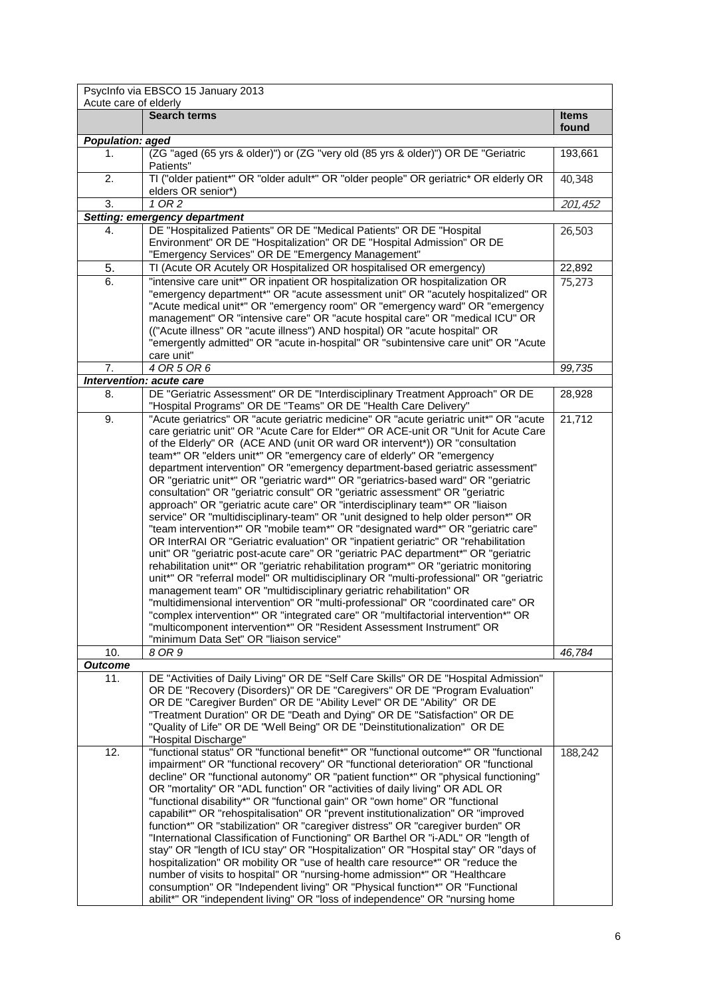|                         | PsycInfo via EBSCO 15 January 2013                                                                                                                                                                                                                                                                                                                                                                                                                                                                                                                                                                                                                                                                                                                                                                                                                                                                                                                                                                                                                                                                                                                                                                                                                                                                                                                                                                                                                                                        |                       |
|-------------------------|-------------------------------------------------------------------------------------------------------------------------------------------------------------------------------------------------------------------------------------------------------------------------------------------------------------------------------------------------------------------------------------------------------------------------------------------------------------------------------------------------------------------------------------------------------------------------------------------------------------------------------------------------------------------------------------------------------------------------------------------------------------------------------------------------------------------------------------------------------------------------------------------------------------------------------------------------------------------------------------------------------------------------------------------------------------------------------------------------------------------------------------------------------------------------------------------------------------------------------------------------------------------------------------------------------------------------------------------------------------------------------------------------------------------------------------------------------------------------------------------|-----------------------|
| Acute care of elderly   |                                                                                                                                                                                                                                                                                                                                                                                                                                                                                                                                                                                                                                                                                                                                                                                                                                                                                                                                                                                                                                                                                                                                                                                                                                                                                                                                                                                                                                                                                           |                       |
|                         | <b>Search terms</b>                                                                                                                                                                                                                                                                                                                                                                                                                                                                                                                                                                                                                                                                                                                                                                                                                                                                                                                                                                                                                                                                                                                                                                                                                                                                                                                                                                                                                                                                       | <b>Items</b><br>found |
| <b>Population: aged</b> |                                                                                                                                                                                                                                                                                                                                                                                                                                                                                                                                                                                                                                                                                                                                                                                                                                                                                                                                                                                                                                                                                                                                                                                                                                                                                                                                                                                                                                                                                           |                       |
| 1.                      | (ZG "aged (65 yrs & older)") or (ZG "very old (85 yrs & older)") OR DE "Geriatric<br>Patients"                                                                                                                                                                                                                                                                                                                                                                                                                                                                                                                                                                                                                                                                                                                                                                                                                                                                                                                                                                                                                                                                                                                                                                                                                                                                                                                                                                                            | 193,661               |
| 2.                      | TI ("older patient*" OR "older adult*" OR "older people" OR geriatric* OR elderly OR<br>elders OR senior*)                                                                                                                                                                                                                                                                                                                                                                                                                                                                                                                                                                                                                                                                                                                                                                                                                                                                                                                                                                                                                                                                                                                                                                                                                                                                                                                                                                                | 40,348                |
| 3.                      | 1 OR 2                                                                                                                                                                                                                                                                                                                                                                                                                                                                                                                                                                                                                                                                                                                                                                                                                                                                                                                                                                                                                                                                                                                                                                                                                                                                                                                                                                                                                                                                                    | 201,452               |
|                         | Setting: emergency department                                                                                                                                                                                                                                                                                                                                                                                                                                                                                                                                                                                                                                                                                                                                                                                                                                                                                                                                                                                                                                                                                                                                                                                                                                                                                                                                                                                                                                                             |                       |
| 4.                      | DE "Hospitalized Patients" OR DE "Medical Patients" OR DE "Hospital<br>Environment" OR DE "Hospitalization" OR DE "Hospital Admission" OR DE                                                                                                                                                                                                                                                                                                                                                                                                                                                                                                                                                                                                                                                                                                                                                                                                                                                                                                                                                                                                                                                                                                                                                                                                                                                                                                                                              | 26,503                |
|                         | "Emergency Services" OR DE "Emergency Management"                                                                                                                                                                                                                                                                                                                                                                                                                                                                                                                                                                                                                                                                                                                                                                                                                                                                                                                                                                                                                                                                                                                                                                                                                                                                                                                                                                                                                                         |                       |
| 5.                      | TI (Acute OR Acutely OR Hospitalized OR hospitalised OR emergency)                                                                                                                                                                                                                                                                                                                                                                                                                                                                                                                                                                                                                                                                                                                                                                                                                                                                                                                                                                                                                                                                                                                                                                                                                                                                                                                                                                                                                        | 22,892                |
| 6.                      | "intensive care unit <sup>*"</sup> OR inpatient OR hospitalization OR hospitalization OR<br>"emergency department*" OR "acute assessment unit" OR "acutely hospitalized" OR<br>"Acute medical unit*" OR "emergency room" OR "emergency ward" OR "emergency<br>management" OR "intensive care" OR "acute hospital care" OR "medical ICU" OR<br>(("Acute illness" OR "acute illness") AND hospital) OR "acute hospital" OR<br>"emergently admitted" OR "acute in-hospital" OR "subintensive care unit" OR "Acute<br>care unit"                                                                                                                                                                                                                                                                                                                                                                                                                                                                                                                                                                                                                                                                                                                                                                                                                                                                                                                                                              | 75,273                |
| 7.                      | 4 OR 5 OR 6                                                                                                                                                                                                                                                                                                                                                                                                                                                                                                                                                                                                                                                                                                                                                                                                                                                                                                                                                                                                                                                                                                                                                                                                                                                                                                                                                                                                                                                                               | 99,735                |
|                         | Intervention: acute care                                                                                                                                                                                                                                                                                                                                                                                                                                                                                                                                                                                                                                                                                                                                                                                                                                                                                                                                                                                                                                                                                                                                                                                                                                                                                                                                                                                                                                                                  |                       |
| 8.                      | DE "Geriatric Assessment" OR DE "Interdisciplinary Treatment Approach" OR DE<br>"Hospital Programs" OR DE "Teams" OR DE "Health Care Delivery"                                                                                                                                                                                                                                                                                                                                                                                                                                                                                                                                                                                                                                                                                                                                                                                                                                                                                                                                                                                                                                                                                                                                                                                                                                                                                                                                            | 28,928                |
| 9.                      | "Acute geriatrics" OR "acute geriatric medicine" OR "acute geriatric unit*" OR "acute                                                                                                                                                                                                                                                                                                                                                                                                                                                                                                                                                                                                                                                                                                                                                                                                                                                                                                                                                                                                                                                                                                                                                                                                                                                                                                                                                                                                     | 21,712                |
|                         | care geriatric unit" OR "Acute Care for Elder*" OR ACE-unit OR "Unit for Acute Care<br>of the Elderly" OR (ACE AND (unit OR ward OR intervent*)) OR "consultation<br>team*" OR "elders unit*" OR "emergency care of elderly" OR "emergency<br>department intervention" OR "emergency department-based geriatric assessment"<br>OR "geriatric unit*" OR "geriatric ward*" OR "geriatrics-based ward" OR "geriatric<br>consultation" OR "geriatric consult" OR "geriatric assessment" OR "geriatric<br>approach" OR "geriatric acute care" OR "interdisciplinary team*" OR "liaison<br>service" OR "multidisciplinary-team" OR "unit designed to help older person*" OR<br>"team intervention*" OR "mobile team*" OR "designated ward*" OR "geriatric care"<br>OR InterRAI OR "Geriatric evaluation" OR "inpatient geriatric" OR "rehabilitation<br>unit" OR "geriatric post-acute care" OR "geriatric PAC department*" OR "geriatric<br>rehabilitation unit*" OR "geriatric rehabilitation program*" OR "geriatric monitoring<br>unit*" OR "referral model" OR multidisciplinary OR "multi-professional" OR "geriatric<br>management team" OR "multidisciplinary geriatric rehabilitation" OR<br>"multidimensional intervention" OR "multi-professional" OR "coordinated care" OR<br>"complex intervention*" OR "integrated care" OR "multifactorial intervention*" OR<br>"multicomponent intervention*" OR "Resident Assessment Instrument" OR<br>"minimum Data Set" OR "liaison service" |                       |
| 10.                     | 8 OR 9                                                                                                                                                                                                                                                                                                                                                                                                                                                                                                                                                                                                                                                                                                                                                                                                                                                                                                                                                                                                                                                                                                                                                                                                                                                                                                                                                                                                                                                                                    | 46,784                |
| <b>Outcome</b>          |                                                                                                                                                                                                                                                                                                                                                                                                                                                                                                                                                                                                                                                                                                                                                                                                                                                                                                                                                                                                                                                                                                                                                                                                                                                                                                                                                                                                                                                                                           |                       |
| 11.                     | DE "Activities of Daily Living" OR DE "Self Care Skills" OR DE "Hospital Admission"<br>OR DE "Recovery (Disorders)" OR DE "Caregivers" OR DE "Program Evaluation"<br>OR DE "Caregiver Burden" OR DE "Ability Level" OR DE "Ability" OR DE<br>"Treatment Duration" OR DE "Death and Dying" OR DE "Satisfaction" OR DE<br>"Quality of Life" OR DE "Well Being" OR DE "Deinstitutionalization" OR DE<br>"Hospital Discharge"                                                                                                                                                                                                                                                                                                                                                                                                                                                                                                                                                                                                                                                                                                                                                                                                                                                                                                                                                                                                                                                                 |                       |
| 12.                     | "functional status" OR "functional benefit*" OR "functional outcome*" OR "functional<br>impairment" OR "functional recovery" OR "functional deterioration" OR "functional<br>decline" OR "functional autonomy" OR "patient function*" OR "physical functioning"<br>OR "mortality" OR "ADL function" OR "activities of daily living" OR ADL OR<br>"functional disability*" OR "functional gain" OR "own home" OR "functional<br>capabilit*" OR "rehospitalisation" OR "prevent institutionalization" OR "improved<br>function*" OR "stabilization" OR "caregiver distress" OR "caregiver burden" OR<br>"International Classification of Functioning" OR Barthel OR "i-ADL" OR "length of<br>stay" OR "length of ICU stay" OR "Hospitalization" OR "Hospital stay" OR "days of<br>hospitalization" OR mobility OR "use of health care resource*" OR "reduce the<br>number of visits to hospital" OR "nursing-home admission*" OR "Healthcare<br>consumption" OR "Independent living" OR "Physical function*" OR "Functional<br>abilit*" OR "independent living" OR "loss of independence" OR "nursing home                                                                                                                                                                                                                                                                                                                                                                                  | 188,242               |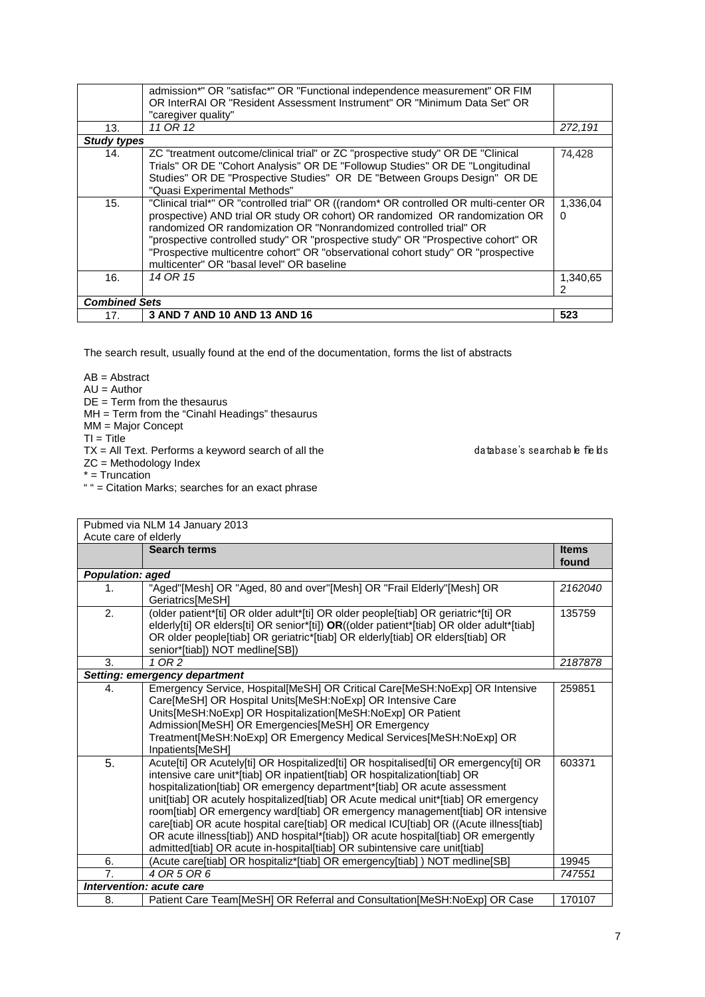| 13.                  | admission*" OR "satisfac*" OR "Functional independence measurement" OR FIM<br>OR InterRAI OR "Resident Assessment Instrument" OR "Minimum Data Set" OR<br>"caregiver quality"<br>11 OR 12                                                                                                                                                                                                                                                                        | 272,191       |
|----------------------|------------------------------------------------------------------------------------------------------------------------------------------------------------------------------------------------------------------------------------------------------------------------------------------------------------------------------------------------------------------------------------------------------------------------------------------------------------------|---------------|
| <b>Study types</b>   |                                                                                                                                                                                                                                                                                                                                                                                                                                                                  |               |
| 14.                  | ZC "treatment outcome/clinical trial" or ZC "prospective study" OR DE "Clinical<br>Trials" OR DE "Cohort Analysis" OR DE "Followup Studies" OR DE "Longitudinal<br>Studies" OR DE "Prospective Studies" OR DE "Between Groups Design" OR DE<br>"Quasi Experimental Methods"                                                                                                                                                                                      | 74,428        |
| 15.                  | "Clinical trial*" OR "controlled trial" OR ((random* OR controlled OR multi-center OR<br>prospective) AND trial OR study OR cohort) OR randomized OR randomization OR<br>randomized OR randomization OR "Nonrandomized controlled trial" OR<br>"prospective controlled study" OR "prospective study" OR "Prospective cohort" OR<br>"Prospective multicentre cohort" OR "observational cohort study" OR "prospective<br>multicenter" OR "basal level" OR baseline | 1,336,04<br>0 |
| 16.                  | 14 OR 15                                                                                                                                                                                                                                                                                                                                                                                                                                                         | 1,340,65      |
| <b>Combined Sets</b> |                                                                                                                                                                                                                                                                                                                                                                                                                                                                  |               |
| 17.                  | 3 AND 7 AND 10 AND 13 AND 16                                                                                                                                                                                                                                                                                                                                                                                                                                     | 523           |

 $AB = Abstract$ 

 $AU =$  Author

 $DE = Term$  from the thesaurus

MH = Term from the "Cinahl Headings" thesaurus

MM = Major Concept

- $TI = Title$
- $TX = All Text.$  Performs a keyword search of all the database's searchable fields

ZC = Methodology Index

- \* = Truncation
- " " = Citation Marks; searches for an exact phrase

Pubmed via NLM 14 January 2013 Acute care of elderly **Search terms Items Items Items found** *Population: aged* 1. "Aged"[Mesh] OR "Aged, 80 and over"[Mesh] OR "Frail Elderly"[Mesh] OR Geriatrics[MeSH] *2162040* 2. (older patient\*[ti] OR older adult\*[ti] OR older people[tiab] OR geriatric\*[ti] OR elderly[ti] OR elders[ti] OR senior\*[ti]) **OR**((older patient\*[tiab] OR older adult\*[tiab] OR older people[tiab] OR geriatric\*[tiab] OR elderly[tiab] OR elders[tiab] OR senior\*[tiab]) NOT medline[SB])<br>1 OR 2 135759 3. *1 OR 2 2187878 Setting: emergency department* 4. Emergency Service, Hospital[MeSH] OR Critical Care[MeSH:NoExp] OR Intensive Care[MeSH] OR Hospital Units[MeSH:NoExp] OR Intensive Care Units[MeSH:NoExp] OR Hospitalization[MeSH:NoExp] OR Patient Admission[MeSH] OR Emergencies[MeSH] OR Emergency Treatment[MeSH:NoExp] OR Emergency Medical Services[MeSH:NoExp] OR Inpatients[MeSH] 259851 5. Acute[ti] OR Acutely[ti] OR Hospitalized[ti] OR hospitalised[ti] OR emergency[ti] OR intensive care unit\*[tiab] OR inpatient[tiab] OR hospitalization[tiab] OR hospitalization[tiab] OR emergency department\*[tiab] OR acute assessment unit[tiab] OR acutely hospitalized[tiab] OR Acute medical unit\*[tiab] OR emergency room[tiab] OR emergency ward[tiab] OR emergency management[tiab] OR intensive care[tiab] OR acute hospital care[tiab] OR medical ICU[tiab] OR ((Acute illness[tiab] OR acute illness[tiab]) AND hospital\*[tiab]) OR acute hospital[tiab] OR emergently admitted[tiab] OR acute in-hospital[tiab] OR subintensive care unit[tiab] 603371 6. (Acute care[tiab] OR hospitaliz\*[tiab] OR emergency[tiab] ) NOT medline[SB] 19945<br>7. 4 OR 5 OR 6 747551 7. *4 OR 5 OR 6 747551 Intervention: acute care* 8. Patient Care Team[MeSH] OR Referral and Consultation[MeSH:NoExp] OR Case 170107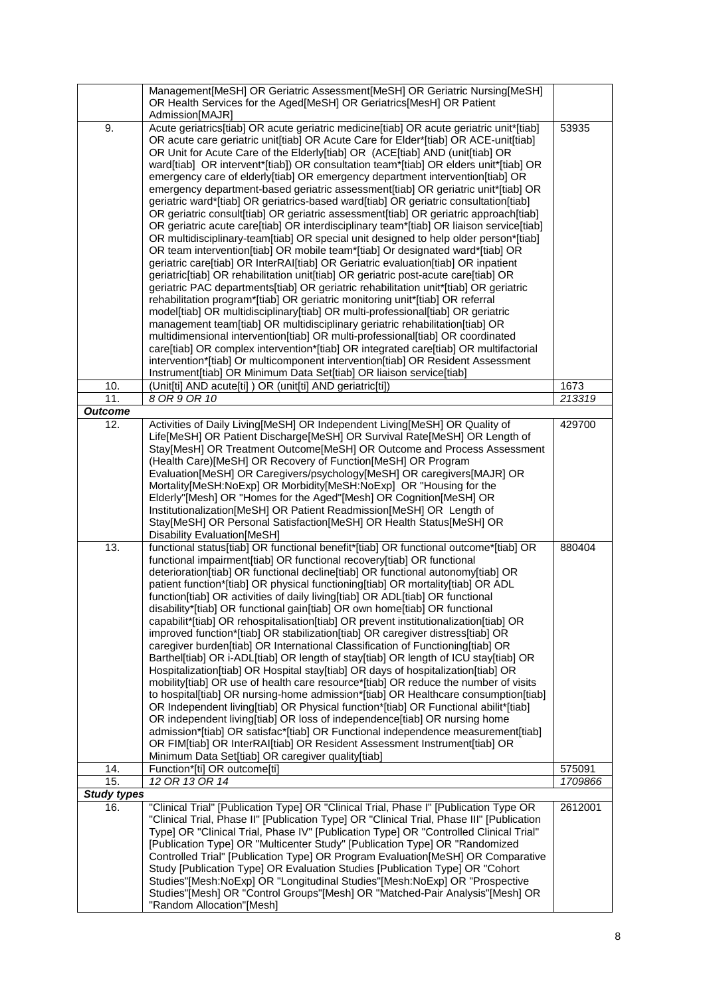|                           | Management[MeSH] OR Geriatric Assessment[MeSH] OR Geriatric Nursing[MeSH]                                                                                                 |         |
|---------------------------|---------------------------------------------------------------------------------------------------------------------------------------------------------------------------|---------|
|                           | OR Health Services for the Aged[MeSH] OR Geriatrics[MesH] OR Patient                                                                                                      |         |
| 9.                        | Admission[MAJR]<br>Acute geriatrics[tiab] OR acute geriatric medicine[tiab] OR acute geriatric unit*[tiab]                                                                | 53935   |
|                           | OR acute care geriatric unit[tiab] OR Acute Care for Elder*[tiab] OR ACE-unit[tiab]                                                                                       |         |
|                           | OR Unit for Acute Care of the Elderly[tiab] OR (ACE[tiab] AND (unit[tiab] OR                                                                                              |         |
|                           | ward[tiab] OR intervent*[tiab]) OR consultation team*[tiab] OR elders unit*[tiab] OR                                                                                      |         |
|                           | emergency care of elderly[tiab] OR emergency department intervention[tiab] OR                                                                                             |         |
|                           | emergency department-based geriatric assessment[tiab] OR geriatric unit*[tiab] OR                                                                                         |         |
|                           | geriatric ward*[tiab] OR geriatrics-based ward[tiab] OR geriatric consultation[tiab]                                                                                      |         |
|                           | OR geriatric consult[tiab] OR geriatric assessment[tiab] OR geriatric approach[tiab]                                                                                      |         |
|                           | OR geriatric acute care[tiab] OR interdisciplinary team*[tiab] OR liaison service[tiab]                                                                                   |         |
|                           | OR multidisciplinary-team[tiab] OR special unit designed to help older person*[tiab]                                                                                      |         |
|                           | OR team intervention[tiab] OR mobile team*[tiab] Or designated ward*[tiab] OR<br>geriatric care[tiab] OR InterRAI[tiab] OR Geriatric evaluation[tiab] OR inpatient        |         |
|                           | geriatric[tiab] OR rehabilitation unit[tiab] OR geriatric post-acute care[tiab] OR                                                                                        |         |
|                           | geriatric PAC departments[tiab] OR geriatric rehabilitation unit*[tiab] OR geriatric                                                                                      |         |
|                           | rehabilitation program*[tiab] OR geriatric monitoring unit*[tiab] OR referral                                                                                             |         |
|                           | model[tiab] OR multidisciplinary[tiab] OR multi-professional[tiab] OR geriatric                                                                                           |         |
|                           | management team[tiab] OR multidisciplinary geriatric rehabilitation[tiab] OR                                                                                              |         |
|                           | multidimensional intervention[tiab] OR multi-professional[tiab] OR coordinated                                                                                            |         |
|                           | care[tiab] OR complex intervention*[tiab] OR integrated care[tiab] OR multifactorial                                                                                      |         |
|                           | intervention*[tiab] Or multicomponent intervention[tiab] OR Resident Assessment                                                                                           |         |
| 10.                       | Instrument[tiab] OR Minimum Data Set[tiab] OR liaison service[tiab]<br>(Unit[ti] AND acute[ti]) OR (unit[ti] AND geriatric[ti])                                           | 1673    |
| 11.                       | 8 OR 9 OR 10                                                                                                                                                              | 213319  |
| Outcome                   |                                                                                                                                                                           |         |
| 12.                       | Activities of Daily Living[MeSH] OR Independent Living[MeSH] OR Quality of                                                                                                | 429700  |
|                           | Life[MeSH] OR Patient Discharge[MeSH] OR Survival Rate[MeSH] OR Length of                                                                                                 |         |
|                           | Stay[MesH] OR Treatment Outcome[MeSH] OR Outcome and Process Assessment                                                                                                   |         |
|                           | (Health Care)[MeSH] OR Recovery of Function[MeSH] OR Program<br>Evaluation[MeSH] OR Caregivers/psychology[MeSH] OR caregivers[MAJR] OR                                    |         |
|                           | Mortality[MeSH:NoExp] OR Morbidity[MeSH:NoExp] OR "Housing for the                                                                                                        |         |
|                           | Elderly"[Mesh] OR "Homes for the Aged"[Mesh] OR Cognition[MeSH] OR                                                                                                        |         |
|                           | Institutionalization[MeSH] OR Patient Readmission[MeSH] OR Length of                                                                                                      |         |
|                           | Stay[MeSH] OR Personal Satisfaction[MeSH] OR Health Status[MeSH] OR                                                                                                       |         |
|                           | Disability Evaluation[MeSH]                                                                                                                                               |         |
| 13.                       | functional status[tiab] OR functional benefit*[tiab] OR functional outcome*[tiab] OR<br>functional impairment[tiab] OR functional recovery[tiab] OR functional            | 880404  |
|                           | deterioration[tiab] OR functional decline[tiab] OR functional autonomy[tiab] OR                                                                                           |         |
|                           | patient function*[tiab] OR physical functioning[tiab] OR mortality[tiab] OR ADL                                                                                           |         |
|                           | function[tiab] OR activities of daily living[tiab] OR ADL[tiab] OR functional                                                                                             |         |
|                           | disability*[tiab] OR functional gain[tiab] OR own home[tiab] OR functional                                                                                                |         |
|                           | capabilit*[tiab] OR rehospitalisation[tiab] OR prevent institutionalization[tiab] OR                                                                                      |         |
|                           | improved function*[tiab] OR stabilization[tiab] OR caregiver distress[tiab] OR                                                                                            |         |
|                           | caregiver burden[tiab] OR International Classification of Functioning[tiab] OR                                                                                            |         |
|                           | Barthel[tiab] OR i-ADL[tiab] OR length of stay[tiab] OR length of ICU stay[tiab] OR                                                                                       |         |
|                           | Hospitalization[tiab] OR Hospital stay[tiab] OR days of hospitalization[tiab] OR                                                                                          |         |
|                           | mobility[tiab] OR use of health care resource*[tiab] OR reduce the number of visits<br>to hospital[tiab] OR nursing-home admission*[tiab] OR Healthcare consumption[tiab] |         |
|                           | OR Independent living[tiab] OR Physical function*[tiab] OR Functional abilit*[tiab]                                                                                       |         |
|                           | OR independent living[tiab] OR loss of independence[tiab] OR nursing home                                                                                                 |         |
|                           | admission*[tiab] OR satisfac*[tiab] OR Functional independence measurement[tiab]                                                                                          |         |
|                           | OR FIM[tiab] OR InterRAI[tiab] OR Resident Assessment Instrument[tiab] OR                                                                                                 |         |
|                           | Minimum Data Set[tiab] OR caregiver quality[tiab]                                                                                                                         |         |
| 14.                       | Function*[ti] OR outcome[ti]                                                                                                                                              | 575091  |
| 15.<br><b>Study types</b> | 12 OR 13 OR 14                                                                                                                                                            | 1709866 |
| 16.                       | "Clinical Trial" [Publication Type] OR "Clinical Trial, Phase I" [Publication Type OR                                                                                     | 2612001 |
|                           | "Clinical Trial, Phase II" [Publication Type] OR "Clinical Trial, Phase III" [Publication                                                                                 |         |
|                           | Type] OR "Clinical Trial, Phase IV" [Publication Type] OR "Controlled Clinical Trial"                                                                                     |         |
|                           | [Publication Type] OR "Multicenter Study" [Publication Type] OR "Randomized                                                                                               |         |
|                           | Controlled Trial" [Publication Type] OR Program Evaluation[MeSH] OR Comparative                                                                                           |         |
|                           | Study [Publication Type] OR Evaluation Studies [Publication Type] OR "Cohort                                                                                              |         |
|                           | Studies"[Mesh:NoExp] OR "Longitudinal Studies"[Mesh:NoExp] OR "Prospective                                                                                                |         |
|                           | Studies"[Mesh] OR "Control Groups"[Mesh] OR "Matched-Pair Analysis"[Mesh] OR<br>"Random Allocation"[Mesh]                                                                 |         |
|                           |                                                                                                                                                                           |         |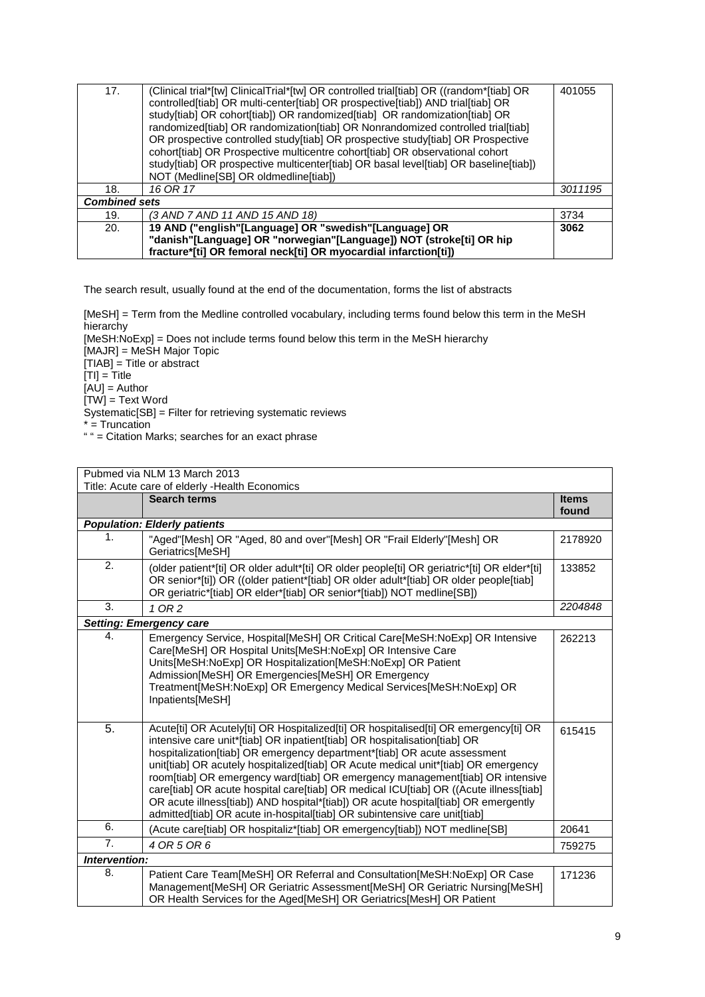| 17.                  | (Clinical trial*[tw] ClinicalTrial*[tw] OR controlled trial[tiab] OR ((random*[tiab] OR<br>controlled[tiab] OR multi-center[tiab] OR prospective[tiab]) AND trial[tiab] OR<br>study[tiab] OR cohort[tiab]) OR randomized[tiab] OR randomization[tiab] OR<br>randomized[tiab] OR randomization[tiab] OR Nonrandomized controlled trial[tiab]<br>OR prospective controlled study[tiab] OR prospective study[tiab] OR Prospective<br>cohort[tiab] OR Prospective multicentre cohort[tiab] OR observational cohort<br>study[tiab] OR prospective multicenter[tiab] OR basal level[tiab] OR baseline[tiab])<br>NOT (Medline[SB] OR oldmedline[tiab]) | 401055  |
|----------------------|-------------------------------------------------------------------------------------------------------------------------------------------------------------------------------------------------------------------------------------------------------------------------------------------------------------------------------------------------------------------------------------------------------------------------------------------------------------------------------------------------------------------------------------------------------------------------------------------------------------------------------------------------|---------|
| 18.                  | 16 OR 17                                                                                                                                                                                                                                                                                                                                                                                                                                                                                                                                                                                                                                        | 3011195 |
| <b>Combined sets</b> |                                                                                                                                                                                                                                                                                                                                                                                                                                                                                                                                                                                                                                                 |         |
| 19.                  | (3 AND 7 AND 11 AND 15 AND 18)                                                                                                                                                                                                                                                                                                                                                                                                                                                                                                                                                                                                                  | 3734    |
| 20.                  | 19 AND ("english"[Language] OR "swedish"[Language] OR                                                                                                                                                                                                                                                                                                                                                                                                                                                                                                                                                                                           | 3062    |
|                      | "danish"[Language] OR "norwegian"[Language]) NOT (stroke[ti] OR hip                                                                                                                                                                                                                                                                                                                                                                                                                                                                                                                                                                             |         |
|                      | fracture*[ti] OR femoral neck[ti] OR myocardial infarction[ti])                                                                                                                                                                                                                                                                                                                                                                                                                                                                                                                                                                                 |         |

[MeSH] = Term from the Medline controlled vocabulary, including terms found below this term in the MeSH hierarchy

[MeSH:NoExp] = Does not include terms found below this term in the MeSH hierarchy [MAJR] = MeSH Major Topic [TIAB] = Title or abstract  $[TI] = Title$  $[AU] =$ Author  $[TW] = Text Word$ Systematic[SB] = Filter for retrieving systematic reviews \* = Truncation

" " = Citation Marks; searches for an exact phrase

| Pubmed via NLM 13 March 2013 |                                                                                                                                                                                                                                                                                                                                                                                                                                                                                                                                                                                                                                                                                  |                       |  |
|------------------------------|----------------------------------------------------------------------------------------------------------------------------------------------------------------------------------------------------------------------------------------------------------------------------------------------------------------------------------------------------------------------------------------------------------------------------------------------------------------------------------------------------------------------------------------------------------------------------------------------------------------------------------------------------------------------------------|-----------------------|--|
|                              | Title: Acute care of elderly - Health Economics                                                                                                                                                                                                                                                                                                                                                                                                                                                                                                                                                                                                                                  |                       |  |
|                              | <b>Search terms</b>                                                                                                                                                                                                                                                                                                                                                                                                                                                                                                                                                                                                                                                              | <b>Items</b><br>found |  |
|                              | <b>Population: Elderly patients</b>                                                                                                                                                                                                                                                                                                                                                                                                                                                                                                                                                                                                                                              |                       |  |
| 1.                           | "Aged"[Mesh] OR "Aged, 80 and over"[Mesh] OR "Frail Elderly"[Mesh] OR<br>Geriatrics[MeSH]                                                                                                                                                                                                                                                                                                                                                                                                                                                                                                                                                                                        | 2178920               |  |
| 2.                           | (older patient*[ti] OR older adult*[ti] OR older people[ti] OR geriatric*[ti] OR elder*[ti]<br>OR senior*[ti]) OR ((older patient*[tiab] OR older adult*[tiab] OR older people[tiab]<br>OR geriatric*[tiab] OR elder*[tiab] OR senior*[tiab]) NOT medline[SB])                                                                                                                                                                                                                                                                                                                                                                                                                   | 133852                |  |
| 3.                           | 1 OR 2                                                                                                                                                                                                                                                                                                                                                                                                                                                                                                                                                                                                                                                                           | 2204848               |  |
|                              | <b>Setting: Emergency care</b>                                                                                                                                                                                                                                                                                                                                                                                                                                                                                                                                                                                                                                                   |                       |  |
| 4.                           | Emergency Service, Hospital[MeSH] OR Critical Care[MeSH:NoExp] OR Intensive<br>Care[MeSH] OR Hospital Units[MeSH:NoExp] OR Intensive Care<br>Units[MeSH:NoExp] OR Hospitalization[MeSH:NoExp] OR Patient<br>Admission[MeSH] OR Emergencies[MeSH] OR Emergency<br>Treatment[MeSH:NoExp] OR Emergency Medical Services[MeSH:NoExp] OR<br>Inpatients[MeSH]                                                                                                                                                                                                                                                                                                                          | 262213                |  |
| 5.                           | Acute[ti] OR Acutely[ti] OR Hospitalized[ti] OR hospitalised[ti] OR emergency[ti] OR<br>intensive care unit*[tiab] OR inpatient[tiab] OR hospitalisation[tiab] OR<br>hospitalization[tiab] OR emergency department*[tiab] OR acute assessment<br>unit[tiab] OR acutely hospitalized[tiab] OR Acute medical unit*[tiab] OR emergency<br>room[tiab] OR emergency ward[tiab] OR emergency management[tiab] OR intensive<br>care[tiab] OR acute hospital care[tiab] OR medical ICU[tiab] OR ((Acute illness[tiab]<br>OR acute illness[tiab]) AND hospital*[tiab]) OR acute hospital[tiab] OR emergently<br>admitted[tiab] OR acute in-hospital[tiab] OR subintensive care unit[tiab] | 615415                |  |
| 6.                           | (Acute care[tiab] OR hospitaliz*[tiab] OR emergency[tiab]) NOT medline[SB]                                                                                                                                                                                                                                                                                                                                                                                                                                                                                                                                                                                                       | 20641                 |  |
| 7.                           | 4 OR 5 OR 6                                                                                                                                                                                                                                                                                                                                                                                                                                                                                                                                                                                                                                                                      | 759275                |  |
| Intervention:                |                                                                                                                                                                                                                                                                                                                                                                                                                                                                                                                                                                                                                                                                                  |                       |  |
| 8.                           | Patient Care Team[MeSH] OR Referral and Consultation[MeSH:NoExp] OR Case<br>Management[MeSH] OR Geriatric Assessment[MeSH] OR Geriatric Nursing[MeSH]<br>OR Health Services for the Aged[MeSH] OR Geriatrics[MesH] OR Patient                                                                                                                                                                                                                                                                                                                                                                                                                                                    | 171236                |  |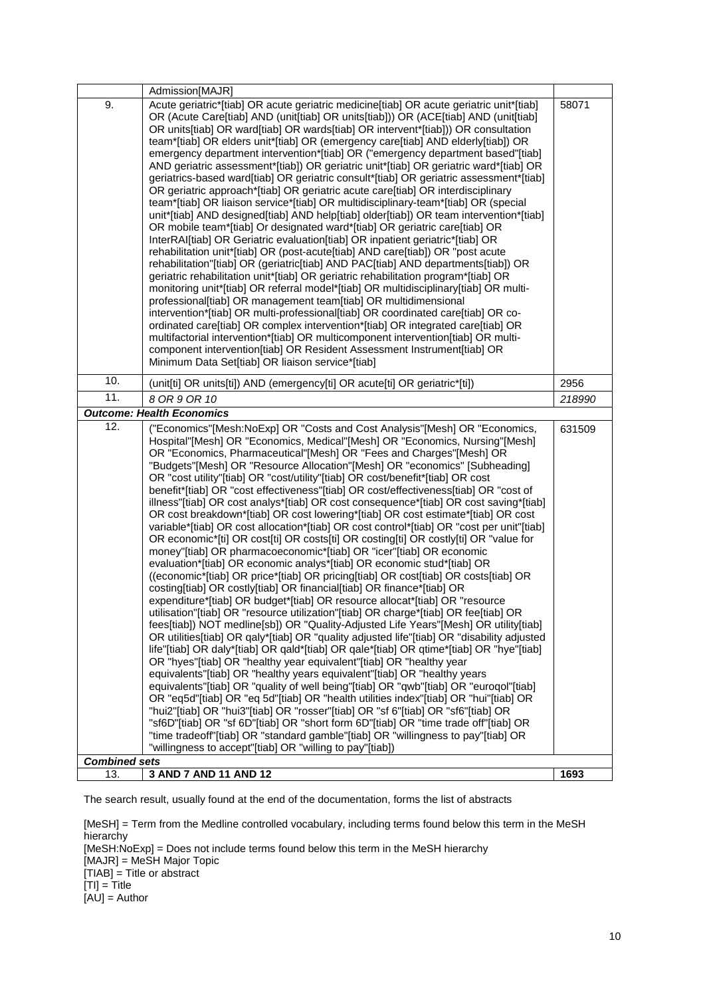|                             | Admission[MAJR]                                                                                                                                                                                                                                                                                                                                                                                                                                                                                                                                                                                                                                                                                                                                                                                                                                                                                                                                                                                                                                                                                                                                                                                                                                                                                                                                                                                                                                                                                                                                                                                                                                                                                                                                                                                                                                                                                                                                                                                                                                                                                                                                                                                                                                                                                   |        |
|-----------------------------|---------------------------------------------------------------------------------------------------------------------------------------------------------------------------------------------------------------------------------------------------------------------------------------------------------------------------------------------------------------------------------------------------------------------------------------------------------------------------------------------------------------------------------------------------------------------------------------------------------------------------------------------------------------------------------------------------------------------------------------------------------------------------------------------------------------------------------------------------------------------------------------------------------------------------------------------------------------------------------------------------------------------------------------------------------------------------------------------------------------------------------------------------------------------------------------------------------------------------------------------------------------------------------------------------------------------------------------------------------------------------------------------------------------------------------------------------------------------------------------------------------------------------------------------------------------------------------------------------------------------------------------------------------------------------------------------------------------------------------------------------------------------------------------------------------------------------------------------------------------------------------------------------------------------------------------------------------------------------------------------------------------------------------------------------------------------------------------------------------------------------------------------------------------------------------------------------------------------------------------------------------------------------------------------------|--------|
| 9.                          | Acute geriatric*[tiab] OR acute geriatric medicine[tiab] OR acute geriatric unit*[tiab]<br>OR (Acute Care[tiab] AND (unit[tiab] OR units[tiab])) OR (ACE[tiab] AND (unit[tiab]<br>OR units[tiab] OR ward[tiab] OR wards[tiab] OR intervent*[tiab])) OR consultation<br>team*[tiab] OR elders unit*[tiab] OR (emergency care[tiab] AND elderly[tiab]) OR<br>emergency department intervention*[tiab] OR ("emergency department based"[tiab]<br>AND geriatric assessment*[tiab]) OR geriatric unit*[tiab] OR geriatric ward*[tiab] OR<br>geriatrics-based ward[tiab] OR geriatric consult*[tiab] OR geriatric assessment*[tiab]<br>OR geriatric approach*[tiab] OR geriatric acute care[tiab] OR interdisciplinary<br>team*[tiab] OR liaison service*[tiab] OR multidisciplinary-team*[tiab] OR (special<br>unit*[tiab] AND designed[tiab] AND help[tiab] older[tiab]) OR team intervention*[tiab]<br>OR mobile team*[tiab] Or designated ward*[tiab] OR geriatric care[tiab] OR<br>InterRAI[tiab] OR Geriatric evaluation[tiab] OR inpatient geriatric*[tiab] OR<br>rehabilitation unit*[tiab] OR (post-acute[tiab] AND care[tiab]) OR "post acute<br>rehabilitation"[tiab] OR (geriatric[tiab] AND PAC[tiab] AND departments[tiab]) OR<br>geriatric rehabilitation unit*[tiab] OR geriatric rehabilitation program*[tiab] OR<br>monitoring unit*[tiab] OR referral model*[tiab] OR multidisciplinary[tiab] OR multi-<br>professional[tiab] OR management team[tiab] OR multidimensional<br>intervention*[tiab] OR multi-professional[tiab] OR coordinated care[tiab] OR co-<br>ordinated care[tiab] OR complex intervention*[tiab] OR integrated care[tiab] OR<br>multifactorial intervention*[tiab] OR multicomponent intervention[tiab] OR multi-<br>component intervention[tiab] OR Resident Assessment Instrument[tiab] OR<br>Minimum Data Set[tiab] OR liaison service*[tiab]                                                                                                                                                                                                                                                                                                                                                                                                                | 58071  |
| 10.                         | (unit[ti] OR units[ti]) AND (emergency[ti] OR acute[ti] OR geriatric*[ti])                                                                                                                                                                                                                                                                                                                                                                                                                                                                                                                                                                                                                                                                                                                                                                                                                                                                                                                                                                                                                                                                                                                                                                                                                                                                                                                                                                                                                                                                                                                                                                                                                                                                                                                                                                                                                                                                                                                                                                                                                                                                                                                                                                                                                        | 2956   |
| 11.                         | 8 OR 9 OR 10                                                                                                                                                                                                                                                                                                                                                                                                                                                                                                                                                                                                                                                                                                                                                                                                                                                                                                                                                                                                                                                                                                                                                                                                                                                                                                                                                                                                                                                                                                                                                                                                                                                                                                                                                                                                                                                                                                                                                                                                                                                                                                                                                                                                                                                                                      | 218990 |
|                             | <b>Outcome: Health Economics</b>                                                                                                                                                                                                                                                                                                                                                                                                                                                                                                                                                                                                                                                                                                                                                                                                                                                                                                                                                                                                                                                                                                                                                                                                                                                                                                                                                                                                                                                                                                                                                                                                                                                                                                                                                                                                                                                                                                                                                                                                                                                                                                                                                                                                                                                                  |        |
| 12.<br><b>Combined sets</b> | ("Economics"[Mesh:NoExp] OR "Costs and Cost Analysis"[Mesh] OR "Economics,<br>Hospital"[Mesh] OR "Economics, Medical"[Mesh] OR "Economics, Nursing"[Mesh]<br>OR "Economics, Pharmaceutical"[Mesh] OR "Fees and Charges"[Mesh] OR<br>"Budgets"[Mesh] OR "Resource Allocation"[Mesh] OR "economics" [Subheading]<br>OR "cost utility"[tiab] OR "cost/utility"[tiab] OR cost/benefit*[tiab] OR cost<br>benefit*[tiab] OR "cost effectiveness"[tiab] OR cost/effectiveness[tiab] OR "cost of<br>illness"[tiab] OR cost analys*[tiab] OR cost consequence*[tiab] OR cost saving*[tiab]<br>OR cost breakdown*[tiab] OR cost lowering*[tiab] OR cost estimate*[tiab] OR cost<br>variable*[tiab] OR cost allocation*[tiab] OR cost control*[tiab] OR "cost per unit"[tiab]<br>OR economic*[ti] OR cost[ti] OR costs[ti] OR costing[ti] OR costly[ti] OR "value for<br>money"[tiab] OR pharmacoeconomic*[tiab] OR "icer"[tiab] OR economic<br>evaluation*[tiab] OR economic analys*[tiab] OR economic stud*[tiab] OR<br>((economic*[tiab] OR price*[tiab] OR pricing[tiab] OR cost[tiab] OR costs[tiab] OR<br>costing[tiab] OR costly[tiab] OR financial[tiab] OR finance*[tiab] OR<br>expenditure*[tiab] OR budget*[tiab] OR resource allocat*[tiab] OR "resource<br>utilisation"[tiab] OR "resource utilization"[tiab] OR charge*[tiab] OR fee[tiab] OR<br>fees[tiab]) NOT medline[sb]) OR "Quality-Adjusted Life Years"[Mesh] OR utility[tiab]<br>OR utilities[tiab] OR qaly*[tiab] OR "quality adjusted life"[tiab] OR "disability adjusted<br>life"[tiab] OR daly*[tiab] OR qald*[tiab] OR qale*[tiab] OR qtime*[tiab] OR "hye"[tiab]<br>OR "hyes"[tiab] OR "healthy year equivalent"[tiab] OR "healthy year<br>equivalents"[tiab] OR "healthy years equivalent"[tiab] OR "healthy years<br>equivalents"[tiab] OR "quality of well being"[tiab] OR "qwb"[tiab] OR "euroqol"[tiab]<br>OR "eq5d"[tiab] OR "eq 5d"[tiab] OR "health utilities index"[tiab] OR "hui"[tiab] OR<br>"hui2"[tiab] OR "hui3"[tiab] OR "rosser"[tiab] OR "sf 6"[tiab] OR "sf6"[tiab] OR<br>"sf6D"[tiab] OR "sf 6D"[tiab] OR "short form 6D"[tiab] OR "time trade off"[tiab] OR<br>"time tradeoff"[tiab] OR "standard gamble"[tiab] OR "willingness to pay"[tiab] OR<br>"willingness to accept"[tiab] OR "willing to pay"[tiab]) | 631509 |
| 13.                         | 3 AND 7 AND 11 AND 12                                                                                                                                                                                                                                                                                                                                                                                                                                                                                                                                                                                                                                                                                                                                                                                                                                                                                                                                                                                                                                                                                                                                                                                                                                                                                                                                                                                                                                                                                                                                                                                                                                                                                                                                                                                                                                                                                                                                                                                                                                                                                                                                                                                                                                                                             | 1693   |

[MeSH] = Term from the Medline controlled vocabulary, including terms found below this term in the MeSH<br>hierarchy hierarchy [MeSH:NoExp] = Does not include terms found below this term in the MeSH hierarchy [MAJR] = MeSH Major Topic [TIAB] = Title or abstract [TI] = Title [AU] = Author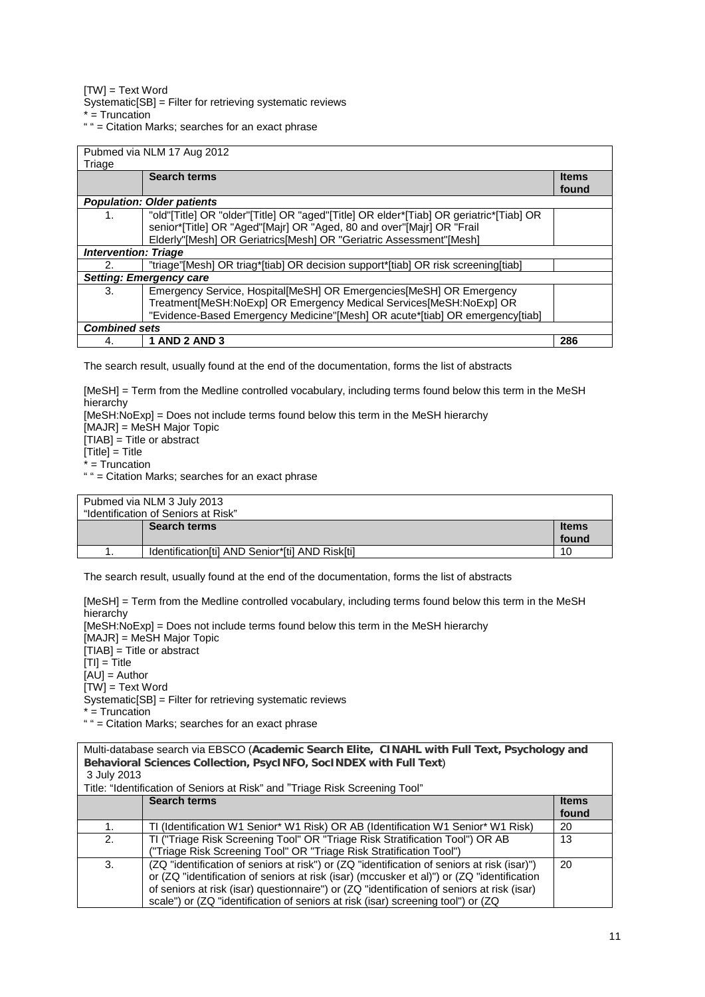[TW] = Text Word

Systematic[SB] = Filter for retrieving systematic reviews

 $* =$ Truncation

" " = Citation Marks; searches for an exact phrase

| Triage                            | Pubmed via NLM 17 Aug 2012                                                                                                                                                                                                            |                       |
|-----------------------------------|---------------------------------------------------------------------------------------------------------------------------------------------------------------------------------------------------------------------------------------|-----------------------|
|                                   | <b>Search terms</b>                                                                                                                                                                                                                   | <b>Items</b><br>found |
| <b>Population: Older patients</b> |                                                                                                                                                                                                                                       |                       |
| 1.                                | "old"[Title] OR "older"[Title] OR "aged"[Title] OR elder*[Tiab] OR geriatric*[Tiab] OR<br>senior*[Title] OR "Aged"[Majr] OR "Aged, 80 and over"[Majr] OR "Frail<br>Elderly"[Mesh] OR Geriatrics[Mesh] OR "Geriatric Assessment"[Mesh] |                       |
| <b>Intervention: Triage</b>       |                                                                                                                                                                                                                                       |                       |
| 2.                                | "triage"[Mesh] OR triag*[tiab] OR decision support*[tiab] OR risk screening[tiab]                                                                                                                                                     |                       |
| <b>Setting: Emergency care</b>    |                                                                                                                                                                                                                                       |                       |
| 3.                                | Emergency Service, Hospital [MeSH] OR Emergencies [MeSH] OR Emergency<br>Treatment[MeSH:NoExp] OR Emergency Medical Services[MeSH:NoExp] OR<br>"Evidence-Based Emergency Medicine"[Mesh] OR acute*[tiab] OR emergency[tiab]           |                       |
| <b>Combined sets</b>              |                                                                                                                                                                                                                                       |                       |
| 4.                                | <b>1 AND 2 AND 3</b>                                                                                                                                                                                                                  | 286                   |

The search result, usually found at the end of the documentation, forms the list of abstracts

[MeSH] = Term from the Medline controlled vocabulary, including terms found below this term in the MeSH hierarchy [MeSH:NoExp] = Does not include terms found below this term in the MeSH hierarchy

[MAJR] = MeSH Major Topic

[TIAB] = Title or abstract

 $\overline{\text{Title}}$  = Title

\* = Truncation

" " = Citation Marks; searches for an exact phrase

| Pubmed via NLM 3 July 2013          |                                                 |              |
|-------------------------------------|-------------------------------------------------|--------------|
| "Identification of Seniors at Risk" |                                                 |              |
|                                     | <b>Search terms</b>                             | <b>Items</b> |
|                                     |                                                 | found        |
|                                     | Identification[ti] AND Senior*[ti] AND Risk[ti] | 10           |

The search result, usually found at the end of the documentation, forms the list of abstracts

[MeSH] = Term from the Medline controlled vocabulary, including terms found below this term in the MeSH hierarchy [MeSH:NoExp] = Does not include terms found below this term in the MeSH hierarchy [MAJR] = MeSH Major Topic  $[TIAB] =$  Title or abstract  $[TI] = Title$  $[AU] =$  Author  $[TW] = Text Word$ Systematic[SB] = Filter for retrieving systematic reviews  $* =$  Truncation " " = Citation Marks; searches for an exact phrase

| Multi-database search via EBSCO (Academic Search Elite, CINAHL with Full Text, Psychology and<br>Behavioral Sciences Collection, PsycINFO, SocINDEX with Full Text) |                                                                                             |              |
|---------------------------------------------------------------------------------------------------------------------------------------------------------------------|---------------------------------------------------------------------------------------------|--------------|
| 3 July 2013                                                                                                                                                         |                                                                                             |              |
|                                                                                                                                                                     |                                                                                             |              |
| Title: "Identification of Seniors at Risk" and "Triage Risk Screening Tool"                                                                                         |                                                                                             |              |
|                                                                                                                                                                     | <b>Search terms</b>                                                                         | <b>Items</b> |
|                                                                                                                                                                     |                                                                                             | found        |
| 1.                                                                                                                                                                  | TI (Identification W1 Senior* W1 Risk) OR AB (Identification W1 Senior* W1 Risk)            | 20           |
| 2.                                                                                                                                                                  | TI ("Triage Risk Screening Tool" OR "Triage Risk Stratification Tool") OR AB                | 13           |
|                                                                                                                                                                     | ("Triage Risk Screening Tool" OR "Triage Risk Stratification Tool")                         |              |
| 3.                                                                                                                                                                  | (ZQ "identification of seniors at risk") or (ZQ "identification of seniors at risk (isar)") | 20           |
|                                                                                                                                                                     | or (ZQ "identification of seniors at risk (isar) (mccusker et al)") or (ZQ "identification  |              |
|                                                                                                                                                                     | of seniors at risk (isar) questionnaire") or (ZQ "identification of seniors at risk (isar)  |              |
|                                                                                                                                                                     | scale") or (ZQ "identification of seniors at risk (isar) screening tool") or (ZQ            |              |